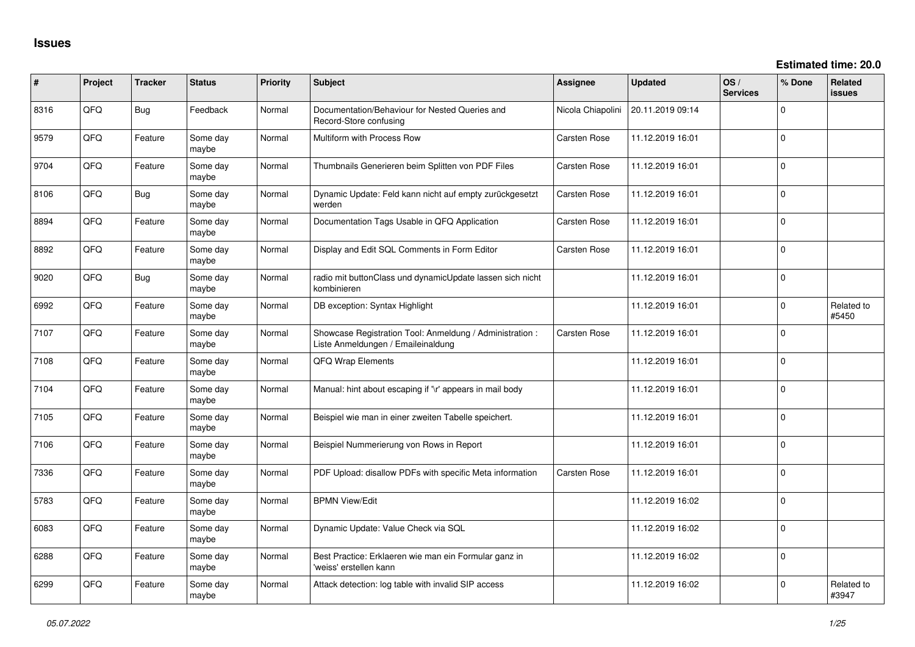| #    | Project | <b>Tracker</b> | <b>Status</b>     | Priority | <b>Subject</b>                                                                                 | <b>Assignee</b>     | <b>Updated</b>   | OS/<br><b>Services</b> | % Done         | <b>Related</b><br><b>issues</b> |
|------|---------|----------------|-------------------|----------|------------------------------------------------------------------------------------------------|---------------------|------------------|------------------------|----------------|---------------------------------|
| 8316 | QFQ     | Bug            | Feedback          | Normal   | Documentation/Behaviour for Nested Queries and<br>Record-Store confusing                       | Nicola Chiapolini   | 20.11.2019 09:14 |                        | 0              |                                 |
| 9579 | QFQ     | Feature        | Some day<br>maybe | Normal   | Multiform with Process Row                                                                     | Carsten Rose        | 11.12.2019 16:01 |                        | 0              |                                 |
| 9704 | QFQ     | Feature        | Some day<br>maybe | Normal   | Thumbnails Generieren beim Splitten von PDF Files                                              | Carsten Rose        | 11.12.2019 16:01 |                        | 0              |                                 |
| 8106 | QFQ     | <b>Bug</b>     | Some day<br>maybe | Normal   | Dynamic Update: Feld kann nicht auf empty zurückgesetzt<br>werden                              | <b>Carsten Rose</b> | 11.12.2019 16:01 |                        | 0              |                                 |
| 8894 | QFQ     | Feature        | Some day<br>maybe | Normal   | Documentation Tags Usable in QFQ Application                                                   | <b>Carsten Rose</b> | 11.12.2019 16:01 |                        | 0              |                                 |
| 8892 | QFQ     | Feature        | Some day<br>maybe | Normal   | Display and Edit SQL Comments in Form Editor                                                   | <b>Carsten Rose</b> | 11.12.2019 16:01 |                        | 0              |                                 |
| 9020 | QFQ     | <b>Bug</b>     | Some day<br>maybe | Normal   | radio mit buttonClass und dynamicUpdate lassen sich nicht<br>kombinieren                       |                     | 11.12.2019 16:01 |                        | 0              |                                 |
| 6992 | QFQ     | Feature        | Some day<br>maybe | Normal   | DB exception: Syntax Highlight                                                                 |                     | 11.12.2019 16:01 |                        | 0              | Related to<br>#5450             |
| 7107 | QFQ     | Feature        | Some day<br>maybe | Normal   | Showcase Registration Tool: Anmeldung / Administration :<br>Liste Anmeldungen / Emaileinaldung | Carsten Rose        | 11.12.2019 16:01 |                        | $\mathbf 0$    |                                 |
| 7108 | QFQ     | Feature        | Some day<br>maybe | Normal   | QFQ Wrap Elements                                                                              |                     | 11.12.2019 16:01 |                        | $\Omega$       |                                 |
| 7104 | QFQ     | Feature        | Some day<br>maybe | Normal   | Manual: hint about escaping if '\r' appears in mail body                                       |                     | 11.12.2019 16:01 |                        | $\Omega$       |                                 |
| 7105 | QFQ     | Feature        | Some day<br>maybe | Normal   | Beispiel wie man in einer zweiten Tabelle speichert.                                           |                     | 11.12.2019 16:01 |                        | 0              |                                 |
| 7106 | QFQ     | Feature        | Some day<br>maybe | Normal   | Beispiel Nummerierung von Rows in Report                                                       |                     | 11.12.2019 16:01 |                        | 0              |                                 |
| 7336 | QFQ     | Feature        | Some day<br>maybe | Normal   | PDF Upload: disallow PDFs with specific Meta information                                       | <b>Carsten Rose</b> | 11.12.2019 16:01 |                        | 0              |                                 |
| 5783 | QFQ     | Feature        | Some day<br>maybe | Normal   | <b>BPMN View/Edit</b>                                                                          |                     | 11.12.2019 16:02 |                        | 0              |                                 |
| 6083 | QFQ     | Feature        | Some day<br>maybe | Normal   | Dynamic Update: Value Check via SQL                                                            |                     | 11.12.2019 16:02 |                        | 0              |                                 |
| 6288 | QFQ     | Feature        | Some day<br>maybe | Normal   | Best Practice: Erklaeren wie man ein Formular ganz in<br>'weiss' erstellen kann                |                     | 11.12.2019 16:02 |                        | $\overline{0}$ |                                 |
| 6299 | QFQ     | Feature        | Some day<br>maybe | Normal   | Attack detection: log table with invalid SIP access                                            |                     | 11.12.2019 16:02 |                        | 0              | Related to<br>#3947             |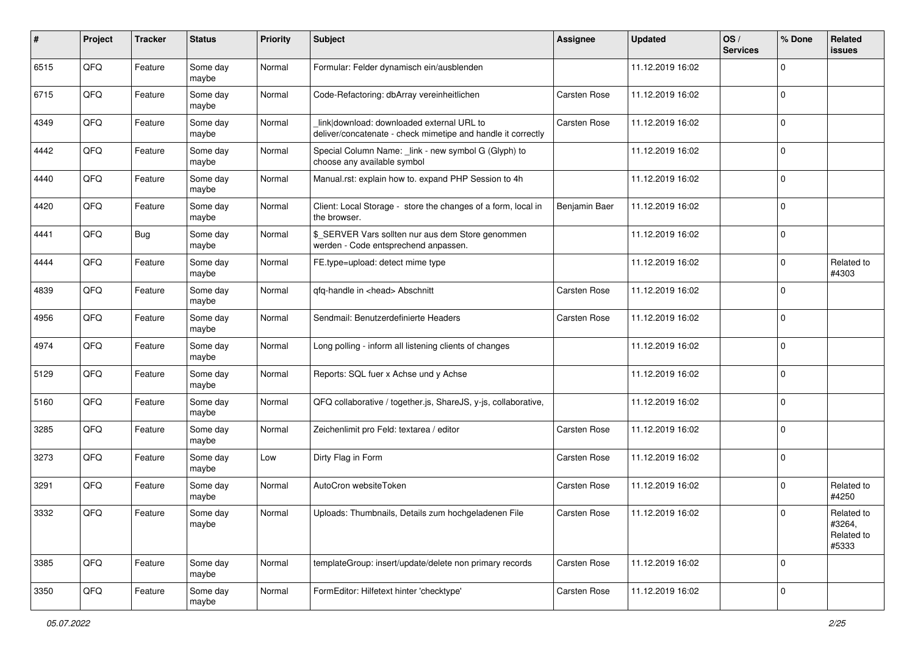| #    | Project | <b>Tracker</b> | <b>Status</b>     | <b>Priority</b> | <b>Subject</b>                                                                                            | <b>Assignee</b>     | <b>Updated</b>   | OS/<br><b>Services</b> | % Done              | Related<br>issues                           |
|------|---------|----------------|-------------------|-----------------|-----------------------------------------------------------------------------------------------------------|---------------------|------------------|------------------------|---------------------|---------------------------------------------|
| 6515 | QFQ     | Feature        | Some day<br>maybe | Normal          | Formular: Felder dynamisch ein/ausblenden                                                                 |                     | 11.12.2019 16:02 |                        | 0                   |                                             |
| 6715 | QFQ     | Feature        | Some day<br>maybe | Normal          | Code-Refactoring: dbArray vereinheitlichen                                                                | Carsten Rose        | 11.12.2019 16:02 |                        | $\mathbf 0$         |                                             |
| 4349 | QFQ     | Feature        | Some day<br>maybe | Normal          | link download: downloaded external URL to<br>deliver/concatenate - check mimetipe and handle it correctly | Carsten Rose        | 11.12.2019 16:02 |                        | 0                   |                                             |
| 4442 | QFQ     | Feature        | Some day<br>maybe | Normal          | Special Column Name: _link - new symbol G (Glyph) to<br>choose any available symbol                       |                     | 11.12.2019 16:02 |                        | $\mathbf 0$         |                                             |
| 4440 | QFQ     | Feature        | Some day<br>maybe | Normal          | Manual.rst: explain how to. expand PHP Session to 4h                                                      |                     | 11.12.2019 16:02 |                        | $\mathbf 0$         |                                             |
| 4420 | QFQ     | Feature        | Some day<br>maybe | Normal          | Client: Local Storage - store the changes of a form, local in<br>the browser.                             | Benjamin Baer       | 11.12.2019 16:02 |                        | $\mathbf 0$         |                                             |
| 4441 | QFQ     | <b>Bug</b>     | Some day<br>maybe | Normal          | \$ SERVER Vars sollten nur aus dem Store genommen<br>werden - Code entsprechend anpassen.                 |                     | 11.12.2019 16:02 |                        | $\mathbf 0$         |                                             |
| 4444 | QFQ     | Feature        | Some day<br>maybe | Normal          | FE.type=upload: detect mime type                                                                          |                     | 11.12.2019 16:02 |                        | 0                   | Related to<br>#4303                         |
| 4839 | QFQ     | Feature        | Some day<br>maybe | Normal          | qfq-handle in <head> Abschnitt</head>                                                                     | <b>Carsten Rose</b> | 11.12.2019 16:02 |                        | 0                   |                                             |
| 4956 | QFQ     | Feature        | Some day<br>maybe | Normal          | Sendmail: Benutzerdefinierte Headers                                                                      | Carsten Rose        | 11.12.2019 16:02 |                        | $\mathbf 0$         |                                             |
| 4974 | QFQ     | Feature        | Some day<br>maybe | Normal          | Long polling - inform all listening clients of changes                                                    |                     | 11.12.2019 16:02 |                        | $\mathbf 0$         |                                             |
| 5129 | QFQ     | Feature        | Some day<br>maybe | Normal          | Reports: SQL fuer x Achse und y Achse                                                                     |                     | 11.12.2019 16:02 |                        | $\mathbf 0$         |                                             |
| 5160 | QFQ     | Feature        | Some day<br>maybe | Normal          | QFQ collaborative / together.js, ShareJS, y-js, collaborative,                                            |                     | 11.12.2019 16:02 |                        | 0                   |                                             |
| 3285 | QFQ     | Feature        | Some day<br>maybe | Normal          | Zeichenlimit pro Feld: textarea / editor                                                                  | <b>Carsten Rose</b> | 11.12.2019 16:02 |                        | $\mathbf 0$         |                                             |
| 3273 | QFQ     | Feature        | Some day<br>maybe | Low             | Dirty Flag in Form                                                                                        | Carsten Rose        | 11.12.2019 16:02 |                        | $\mathbf 0$         |                                             |
| 3291 | QFQ     | Feature        | Some day<br>maybe | Normal          | AutoCron websiteToken                                                                                     | Carsten Rose        | 11.12.2019 16:02 |                        | $\mathbf 0$         | Related to<br>#4250                         |
| 3332 | QFQ     | Feature        | Some day<br>maybe | Normal          | Uploads: Thumbnails, Details zum hochgeladenen File                                                       | Carsten Rose        | 11.12.2019 16:02 |                        | $\Omega$            | Related to<br>#3264,<br>Related to<br>#5333 |
| 3385 | QFQ     | Feature        | Some day<br>maybe | Normal          | templateGroup: insert/update/delete non primary records                                                   | Carsten Rose        | 11.12.2019 16:02 |                        | $\mathbf 0$         |                                             |
| 3350 | QFQ     | Feature        | Some day<br>maybe | Normal          | FormEditor: Hilfetext hinter 'checktype'                                                                  | Carsten Rose        | 11.12.2019 16:02 |                        | $\mathsf{O}\xspace$ |                                             |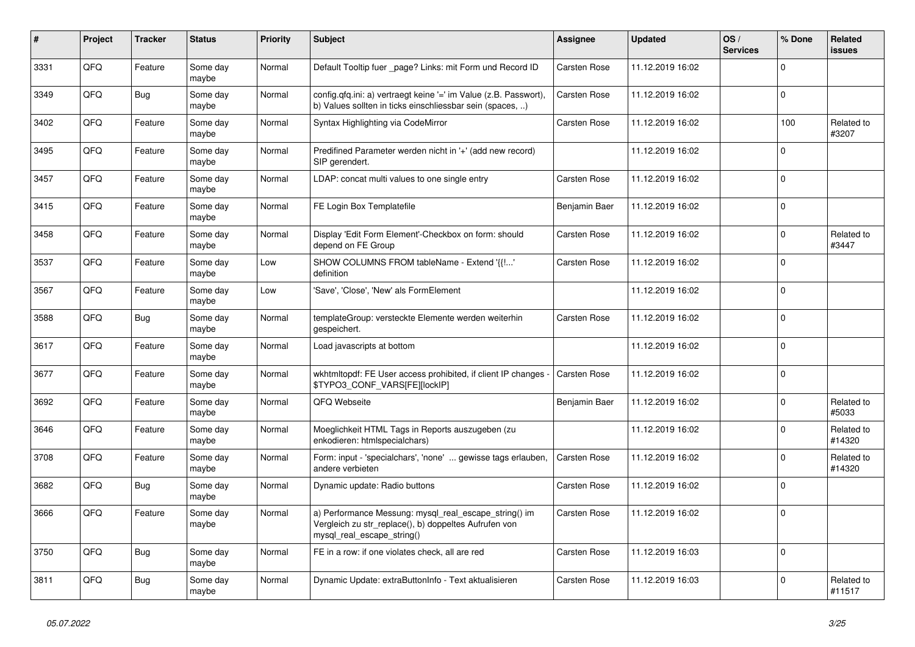| #    | Project | <b>Tracker</b> | <b>Status</b>     | <b>Priority</b> | <b>Subject</b>                                                                                                                               | <b>Assignee</b>     | <b>Updated</b>   | OS/<br><b>Services</b> | % Done      | Related<br>issues    |
|------|---------|----------------|-------------------|-----------------|----------------------------------------------------------------------------------------------------------------------------------------------|---------------------|------------------|------------------------|-------------|----------------------|
| 3331 | QFQ     | Feature        | Some day<br>maybe | Normal          | Default Tooltip fuer _page? Links: mit Form und Record ID                                                                                    | Carsten Rose        | 11.12.2019 16:02 |                        | $\Omega$    |                      |
| 3349 | QFQ     | <b>Bug</b>     | Some day<br>maybe | Normal          | config.qfq.ini: a) vertraegt keine '=' im Value (z.B. Passwort),<br>b) Values sollten in ticks einschliessbar sein (spaces, )                | Carsten Rose        | 11.12.2019 16:02 |                        | $\Omega$    |                      |
| 3402 | QFQ     | Feature        | Some day<br>maybe | Normal          | Syntax Highlighting via CodeMirror                                                                                                           | Carsten Rose        | 11.12.2019 16:02 |                        | 100         | Related to<br>#3207  |
| 3495 | QFQ     | Feature        | Some day<br>maybe | Normal          | Predifined Parameter werden nicht in '+' (add new record)<br>SIP gerendert.                                                                  |                     | 11.12.2019 16:02 |                        | $\Omega$    |                      |
| 3457 | QFQ     | Feature        | Some day<br>maybe | Normal          | LDAP: concat multi values to one single entry                                                                                                | Carsten Rose        | 11.12.2019 16:02 |                        | $\Omega$    |                      |
| 3415 | QFQ     | Feature        | Some day<br>maybe | Normal          | FE Login Box Templatefile                                                                                                                    | Benjamin Baer       | 11.12.2019 16:02 |                        | $\Omega$    |                      |
| 3458 | QFQ     | Feature        | Some day<br>maybe | Normal          | Display 'Edit Form Element'-Checkbox on form: should<br>depend on FE Group                                                                   | Carsten Rose        | 11.12.2019 16:02 |                        | $\Omega$    | Related to<br>#3447  |
| 3537 | QFQ     | Feature        | Some day<br>maybe | Low             | SHOW COLUMNS FROM tableName - Extend '{{!'<br>definition                                                                                     | Carsten Rose        | 11.12.2019 16:02 |                        | $\Omega$    |                      |
| 3567 | QFQ     | Feature        | Some day<br>maybe | Low             | 'Save', 'Close', 'New' als FormElement                                                                                                       |                     | 11.12.2019 16:02 |                        | $\Omega$    |                      |
| 3588 | QFQ     | Bug            | Some day<br>maybe | Normal          | templateGroup: versteckte Elemente werden weiterhin<br>gespeichert.                                                                          | Carsten Rose        | 11.12.2019 16:02 |                        | $\mathbf 0$ |                      |
| 3617 | QFQ     | Feature        | Some day<br>maybe | Normal          | Load javascripts at bottom                                                                                                                   |                     | 11.12.2019 16:02 |                        | $\Omega$    |                      |
| 3677 | QFQ     | Feature        | Some day<br>maybe | Normal          | wkhtmitopdf: FE User access prohibited, if client IP changes -<br>\$TYPO3_CONF_VARS[FE][lockIP]                                              | <b>Carsten Rose</b> | 11.12.2019 16:02 |                        | $\Omega$    |                      |
| 3692 | QFQ     | Feature        | Some day<br>maybe | Normal          | QFQ Webseite                                                                                                                                 | Benjamin Baer       | 11.12.2019 16:02 |                        | $\Omega$    | Related to<br>#5033  |
| 3646 | QFQ     | Feature        | Some day<br>maybe | Normal          | Moeglichkeit HTML Tags in Reports auszugeben (zu<br>enkodieren: htmlspecialchars)                                                            |                     | 11.12.2019 16:02 |                        | $\Omega$    | Related to<br>#14320 |
| 3708 | QFQ     | Feature        | Some day<br>maybe | Normal          | Form: input - 'specialchars', 'none'  gewisse tags erlauben,<br>andere verbieten                                                             | <b>Carsten Rose</b> | 11.12.2019 16:02 |                        | $\Omega$    | Related to<br>#14320 |
| 3682 | QFQ     | Bug            | Some day<br>maybe | Normal          | Dynamic update: Radio buttons                                                                                                                | Carsten Rose        | 11.12.2019 16:02 |                        | $\Omega$    |                      |
| 3666 | QFQ     | Feature        | Some day<br>maybe | Normal          | a) Performance Messung: mysql_real_escape_string() im<br>Vergleich zu str replace(), b) doppeltes Aufrufen von<br>mysql real escape string() | Carsten Rose        | 11.12.2019 16:02 |                        | $\Omega$    |                      |
| 3750 | QFQ     | <b>Bug</b>     | Some day<br>maybe | Normal          | FE in a row: if one violates check, all are red                                                                                              | Carsten Rose        | 11.12.2019 16:03 |                        | $\mathbf 0$ |                      |
| 3811 | QFQ     | <b>Bug</b>     | Some day<br>maybe | Normal          | Dynamic Update: extraButtonInfo - Text aktualisieren                                                                                         | Carsten Rose        | 11.12.2019 16:03 |                        | $\Omega$    | Related to<br>#11517 |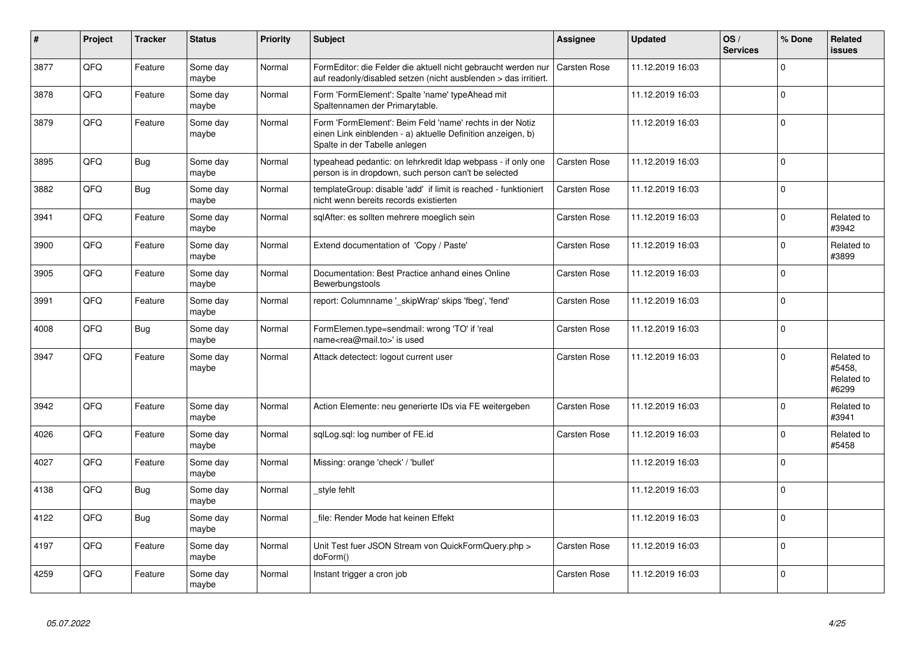| $\vert$ # | Project | <b>Tracker</b> | <b>Status</b>     | <b>Priority</b> | <b>Subject</b>                                                                                                                                           | Assignee            | <b>Updated</b>   | OS/<br><b>Services</b> | % Done         | Related<br>issues                           |
|-----------|---------|----------------|-------------------|-----------------|----------------------------------------------------------------------------------------------------------------------------------------------------------|---------------------|------------------|------------------------|----------------|---------------------------------------------|
| 3877      | QFQ     | Feature        | Some day<br>maybe | Normal          | FormEditor: die Felder die aktuell nicht gebraucht werden nur<br>auf readonly/disabled setzen (nicht ausblenden > das irritiert.                         | <b>Carsten Rose</b> | 11.12.2019 16:03 |                        | $\Omega$       |                                             |
| 3878      | QFQ     | Feature        | Some day<br>maybe | Normal          | Form 'FormElement': Spalte 'name' typeAhead mit<br>Spaltennamen der Primarytable.                                                                        |                     | 11.12.2019 16:03 |                        | $\Omega$       |                                             |
| 3879      | QFQ     | Feature        | Some day<br>maybe | Normal          | Form 'FormElement': Beim Feld 'name' rechts in der Notiz<br>einen Link einblenden - a) aktuelle Definition anzeigen, b)<br>Spalte in der Tabelle anlegen |                     | 11.12.2019 16:03 |                        | $\overline{0}$ |                                             |
| 3895      | QFQ     | <b>Bug</b>     | Some day<br>maybe | Normal          | typeahead pedantic: on lehrkredit Idap webpass - if only one<br>person is in dropdown, such person can't be selected                                     | Carsten Rose        | 11.12.2019 16:03 |                        | $\Omega$       |                                             |
| 3882      | QFQ     | <b>Bug</b>     | Some day<br>maybe | Normal          | templateGroup: disable 'add' if limit is reached - funktioniert<br>nicht wenn bereits records existierten                                                | Carsten Rose        | 11.12.2019 16:03 |                        | $\Omega$       |                                             |
| 3941      | QFQ     | Feature        | Some day<br>maybe | Normal          | sqlAfter: es sollten mehrere moeglich sein                                                                                                               | Carsten Rose        | 11.12.2019 16:03 |                        | $\Omega$       | Related to<br>#3942                         |
| 3900      | QFQ     | Feature        | Some day<br>maybe | Normal          | Extend documentation of 'Copy / Paste'                                                                                                                   | Carsten Rose        | 11.12.2019 16:03 |                        | $\Omega$       | Related to<br>#3899                         |
| 3905      | QFQ     | Feature        | Some day<br>maybe | Normal          | Documentation: Best Practice anhand eines Online<br>Bewerbungstools                                                                                      | Carsten Rose        | 11.12.2019 16:03 |                        | $\Omega$       |                                             |
| 3991      | QFQ     | Feature        | Some day<br>maybe | Normal          | report: Columnname '_skipWrap' skips 'fbeg', 'fend'                                                                                                      | Carsten Rose        | 11.12.2019 16:03 |                        | $\mathbf 0$    |                                             |
| 4008      | QFQ     | Bug            | Some day<br>maybe | Normal          | FormElemen.type=sendmail: wrong 'TO' if 'real<br>name <rea@mail.to>' is used</rea@mail.to>                                                               | Carsten Rose        | 11.12.2019 16:03 |                        | $\Omega$       |                                             |
| 3947      | QFQ     | Feature        | Some day<br>maybe | Normal          | Attack detectect: logout current user                                                                                                                    | <b>Carsten Rose</b> | 11.12.2019 16:03 |                        | $\Omega$       | Related to<br>#5458,<br>Related to<br>#6299 |
| 3942      | QFQ     | Feature        | Some day<br>maybe | Normal          | Action Elemente: neu generierte IDs via FE weitergeben                                                                                                   | Carsten Rose        | 11.12.2019 16:03 |                        | $\Omega$       | Related to<br>#3941                         |
| 4026      | QFQ     | Feature        | Some day<br>maybe | Normal          | sqlLog.sql: log number of FE.id                                                                                                                          | Carsten Rose        | 11.12.2019 16:03 |                        | $\Omega$       | Related to<br>#5458                         |
| 4027      | QFQ     | Feature        | Some day<br>maybe | Normal          | Missing: orange 'check' / 'bullet'                                                                                                                       |                     | 11.12.2019 16:03 |                        | $\Omega$       |                                             |
| 4138      | QFQ     | <b>Bug</b>     | Some day<br>maybe | Normal          | style fehlt                                                                                                                                              |                     | 11.12.2019 16:03 |                        | $\Omega$       |                                             |
| 4122      | QFQ     | <b>Bug</b>     | Some day<br>maybe | Normal          | file: Render Mode hat keinen Effekt                                                                                                                      |                     | 11.12.2019 16:03 |                        | $\Omega$       |                                             |
| 4197      | QFQ     | Feature        | Some day<br>maybe | Normal          | Unit Test fuer JSON Stream von QuickFormQuery.php ><br>doForm()                                                                                          | Carsten Rose        | 11.12.2019 16:03 |                        | $\Omega$       |                                             |
| 4259      | QFQ     | Feature        | Some day<br>maybe | Normal          | Instant trigger a cron job                                                                                                                               | <b>Carsten Rose</b> | 11.12.2019 16:03 |                        | $\overline{0}$ |                                             |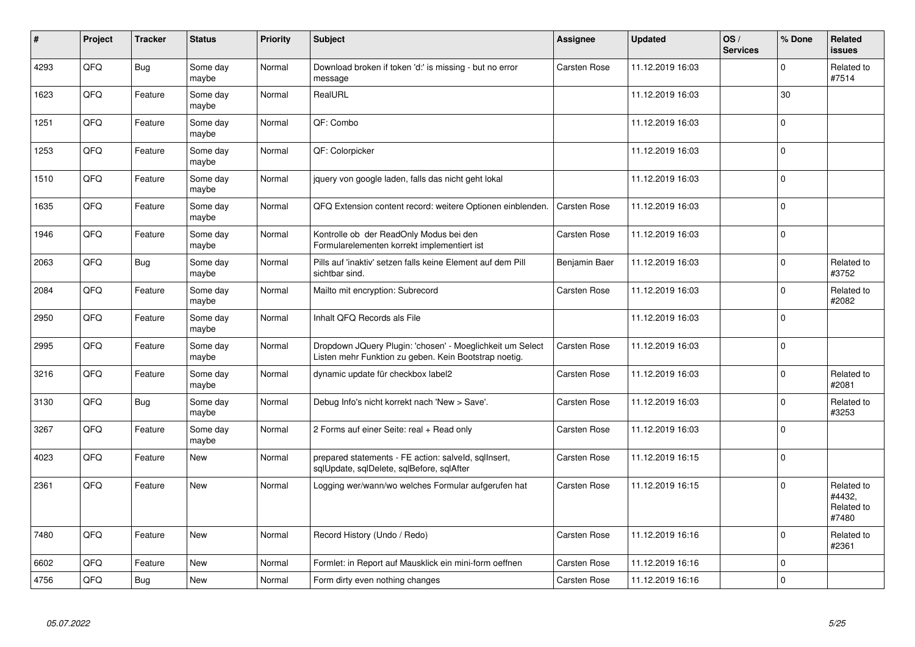| $\vert$ # | Project | <b>Tracker</b> | <b>Status</b>     | <b>Priority</b> | <b>Subject</b>                                                                                                     | Assignee            | <b>Updated</b>   | OS/<br><b>Services</b> | % Done         | Related<br>issues                           |
|-----------|---------|----------------|-------------------|-----------------|--------------------------------------------------------------------------------------------------------------------|---------------------|------------------|------------------------|----------------|---------------------------------------------|
| 4293      | QFQ     | <b>Bug</b>     | Some day<br>maybe | Normal          | Download broken if token 'd:' is missing - but no error<br>message                                                 | Carsten Rose        | 11.12.2019 16:03 |                        | $\Omega$       | Related to<br>#7514                         |
| 1623      | QFQ     | Feature        | Some day<br>maybe | Normal          | RealURL                                                                                                            |                     | 11.12.2019 16:03 |                        | 30             |                                             |
| 1251      | QFQ     | Feature        | Some day<br>maybe | Normal          | QF: Combo                                                                                                          |                     | 11.12.2019 16:03 |                        | $\Omega$       |                                             |
| 1253      | QFQ     | Feature        | Some day<br>maybe | Normal          | QF: Colorpicker                                                                                                    |                     | 11.12.2019 16:03 |                        | $\Omega$       |                                             |
| 1510      | QFQ     | Feature        | Some day<br>maybe | Normal          | jquery von google laden, falls das nicht geht lokal                                                                |                     | 11.12.2019 16:03 |                        | $\overline{0}$ |                                             |
| 1635      | QFQ     | Feature        | Some day<br>maybe | Normal          | QFQ Extension content record: weitere Optionen einblenden.                                                         | Carsten Rose        | 11.12.2019 16:03 |                        | $\Omega$       |                                             |
| 1946      | QFG     | Feature        | Some day<br>maybe | Normal          | Kontrolle ob der ReadOnly Modus bei den<br>Formularelementen korrekt implementiert ist                             | Carsten Rose        | 11.12.2019 16:03 |                        | $\overline{0}$ |                                             |
| 2063      | QFQ     | <b>Bug</b>     | Some day<br>maybe | Normal          | Pills auf 'inaktiv' setzen falls keine Element auf dem Pill<br>sichtbar sind.                                      | Benjamin Baer       | 11.12.2019 16:03 |                        | $\Omega$       | Related to<br>#3752                         |
| 2084      | QFQ     | Feature        | Some day<br>maybe | Normal          | Mailto mit encryption: Subrecord                                                                                   | <b>Carsten Rose</b> | 11.12.2019 16:03 |                        | $\Omega$       | Related to<br>#2082                         |
| 2950      | QFQ     | Feature        | Some day<br>maybe | Normal          | Inhalt QFQ Records als File                                                                                        |                     | 11.12.2019 16:03 |                        | $\Omega$       |                                             |
| 2995      | QFQ     | Feature        | Some day<br>maybe | Normal          | Dropdown JQuery Plugin: 'chosen' - Moeglichkeit um Select<br>Listen mehr Funktion zu geben. Kein Bootstrap noetig. | Carsten Rose        | 11.12.2019 16:03 |                        | $\mathbf 0$    |                                             |
| 3216      | QFQ     | Feature        | Some day<br>maybe | Normal          | dynamic update für checkbox label2                                                                                 | Carsten Rose        | 11.12.2019 16:03 |                        | $\Omega$       | Related to<br>#2081                         |
| 3130      | QFQ     | <b>Bug</b>     | Some day<br>maybe | Normal          | Debug Info's nicht korrekt nach 'New > Save'.                                                                      | Carsten Rose        | 11.12.2019 16:03 |                        | $\Omega$       | Related to<br>#3253                         |
| 3267      | QFQ     | Feature        | Some day<br>maybe | Normal          | 2 Forms auf einer Seite: real + Read only                                                                          | Carsten Rose        | 11.12.2019 16:03 |                        | $\Omega$       |                                             |
| 4023      | QFQ     | Feature        | New               | Normal          | prepared statements - FE action: salveld, sqllnsert,<br>sqlUpdate, sqlDelete, sqlBefore, sqlAfter                  | Carsten Rose        | 11.12.2019 16:15 |                        | $\Omega$       |                                             |
| 2361      | QFQ     | Feature        | New               | Normal          | Logging wer/wann/wo welches Formular aufgerufen hat                                                                | Carsten Rose        | 11.12.2019 16:15 |                        | $\Omega$       | Related to<br>#4432,<br>Related to<br>#7480 |
| 7480      | QFQ     | Feature        | New               | Normal          | Record History (Undo / Redo)                                                                                       | Carsten Rose        | 11.12.2019 16:16 |                        | $\Omega$       | Related to<br>#2361                         |
| 6602      | QFQ     | Feature        | <b>New</b>        | Normal          | Formlet: in Report auf Mausklick ein mini-form oeffnen                                                             | Carsten Rose        | 11.12.2019 16:16 |                        | $\overline{0}$ |                                             |
| 4756      | QFQ     | <b>Bug</b>     | New               | Normal          | Form dirty even nothing changes                                                                                    | Carsten Rose        | 11.12.2019 16:16 |                        | $\Omega$       |                                             |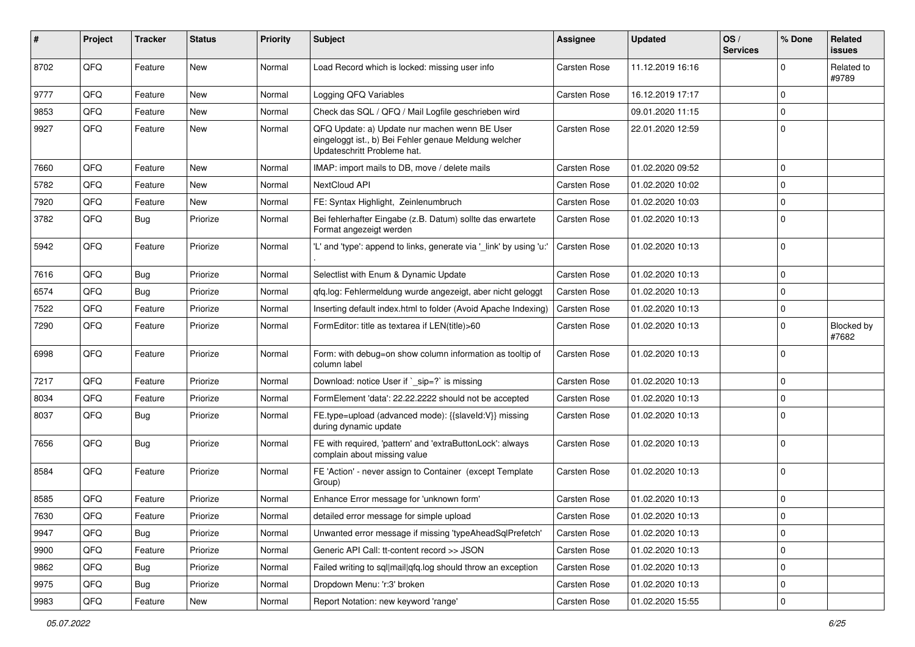| ∦    | Project | <b>Tracker</b> | <b>Status</b> | <b>Priority</b> | Subject                                                                                                                               | Assignee     | <b>Updated</b>   | OS/<br><b>Services</b> | % Done      | Related<br><b>issues</b> |
|------|---------|----------------|---------------|-----------------|---------------------------------------------------------------------------------------------------------------------------------------|--------------|------------------|------------------------|-------------|--------------------------|
| 8702 | QFQ     | Feature        | New           | Normal          | Load Record which is locked: missing user info                                                                                        | Carsten Rose | 11.12.2019 16:16 |                        | 0           | Related to<br>#9789      |
| 9777 | QFQ     | Feature        | New           | Normal          | Logging QFQ Variables                                                                                                                 | Carsten Rose | 16.12.2019 17:17 |                        | 0           |                          |
| 9853 | QFQ     | Feature        | New           | Normal          | Check das SQL / QFQ / Mail Logfile geschrieben wird                                                                                   |              | 09.01.2020 11:15 |                        | 0           |                          |
| 9927 | QFQ     | Feature        | New           | Normal          | QFQ Update: a) Update nur machen wenn BE User<br>eingeloggt ist., b) Bei Fehler genaue Meldung welcher<br>Updateschritt Probleme hat. | Carsten Rose | 22.01.2020 12:59 |                        | 0           |                          |
| 7660 | QFQ     | Feature        | New           | Normal          | IMAP: import mails to DB, move / delete mails                                                                                         | Carsten Rose | 01.02.2020 09:52 |                        | 0           |                          |
| 5782 | QFQ     | Feature        | New           | Normal          | NextCloud API                                                                                                                         | Carsten Rose | 01.02.2020 10:02 |                        | 0           |                          |
| 7920 | QFQ     | Feature        | New           | Normal          | FE: Syntax Highlight, Zeinlenumbruch                                                                                                  | Carsten Rose | 01.02.2020 10:03 |                        | 0           |                          |
| 3782 | QFQ     | <b>Bug</b>     | Priorize      | Normal          | Bei fehlerhafter Eingabe (z.B. Datum) sollte das erwartete<br>Format angezeigt werden                                                 | Carsten Rose | 01.02.2020 10:13 |                        | 0           |                          |
| 5942 | QFQ     | Feature        | Priorize      | Normal          | 'L' and 'type': append to links, generate via '_link' by using 'u:'                                                                   | Carsten Rose | 01.02.2020 10:13 |                        | 0           |                          |
| 7616 | QFQ     | Bug            | Priorize      | Normal          | Selectlist with Enum & Dynamic Update                                                                                                 | Carsten Rose | 01.02.2020 10:13 |                        | 0           |                          |
| 6574 | QFQ     | Bug            | Priorize      | Normal          | qfq.log: Fehlermeldung wurde angezeigt, aber nicht geloggt                                                                            | Carsten Rose | 01.02.2020 10:13 |                        | 0           |                          |
| 7522 | QFQ     | Feature        | Priorize      | Normal          | Inserting default index.html to folder (Avoid Apache Indexing)                                                                        | Carsten Rose | 01.02.2020 10:13 |                        | 0           |                          |
| 7290 | QFQ     | Feature        | Priorize      | Normal          | FormEditor: title as textarea if LEN(title)>60                                                                                        | Carsten Rose | 01.02.2020 10:13 |                        | 0           | Blocked by<br>#7682      |
| 6998 | QFQ     | Feature        | Priorize      | Normal          | Form: with debug=on show column information as tooltip of<br>column label                                                             | Carsten Rose | 01.02.2020 10:13 |                        | 0           |                          |
| 7217 | QFQ     | Feature        | Priorize      | Normal          | Download: notice User if `_sip=?` is missing                                                                                          | Carsten Rose | 01.02.2020 10:13 |                        | 0           |                          |
| 8034 | QFQ     | Feature        | Priorize      | Normal          | FormElement 'data': 22.22.2222 should not be accepted                                                                                 | Carsten Rose | 01.02.2020 10:13 |                        | 0           |                          |
| 8037 | QFQ     | Bug            | Priorize      | Normal          | FE.type=upload (advanced mode): {{slaveId:V}} missing<br>during dynamic update                                                        | Carsten Rose | 01.02.2020 10:13 |                        | 0           |                          |
| 7656 | QFQ     | <b>Bug</b>     | Priorize      | Normal          | FE with required, 'pattern' and 'extraButtonLock': always<br>complain about missing value                                             | Carsten Rose | 01.02.2020 10:13 |                        | 0           |                          |
| 8584 | QFQ     | Feature        | Priorize      | Normal          | FE 'Action' - never assign to Container (except Template<br>Group)                                                                    | Carsten Rose | 01.02.2020 10:13 |                        | 0           |                          |
| 8585 | QFQ     | Feature        | Priorize      | Normal          | Enhance Error message for 'unknown form'                                                                                              | Carsten Rose | 01.02.2020 10:13 |                        | 0           |                          |
| 7630 | QFQ     | Feature        | Priorize      | Normal          | detailed error message for simple upload                                                                                              | Carsten Rose | 01.02.2020 10:13 |                        | U           |                          |
| 9947 | QFQ     | <b>Bug</b>     | Priorize      | Normal          | Unwanted error message if missing 'typeAheadSqlPrefetch'                                                                              | Carsten Rose | 01.02.2020 10:13 |                        | $\mathbf 0$ |                          |
| 9900 | QFQ     | Feature        | Priorize      | Normal          | Generic API Call: tt-content record >> JSON                                                                                           | Carsten Rose | 01.02.2020 10:13 |                        | 0           |                          |
| 9862 | QFQ     | <b>Bug</b>     | Priorize      | Normal          | Failed writing to sql mail qfq.log should throw an exception                                                                          | Carsten Rose | 01.02.2020 10:13 |                        | 0           |                          |
| 9975 | QFQ     | <b>Bug</b>     | Priorize      | Normal          | Dropdown Menu: 'r:3' broken                                                                                                           | Carsten Rose | 01.02.2020 10:13 |                        | 0           |                          |
| 9983 | QFQ     | Feature        | New           | Normal          | Report Notation: new keyword 'range'                                                                                                  | Carsten Rose | 01.02.2020 15:55 |                        | 0           |                          |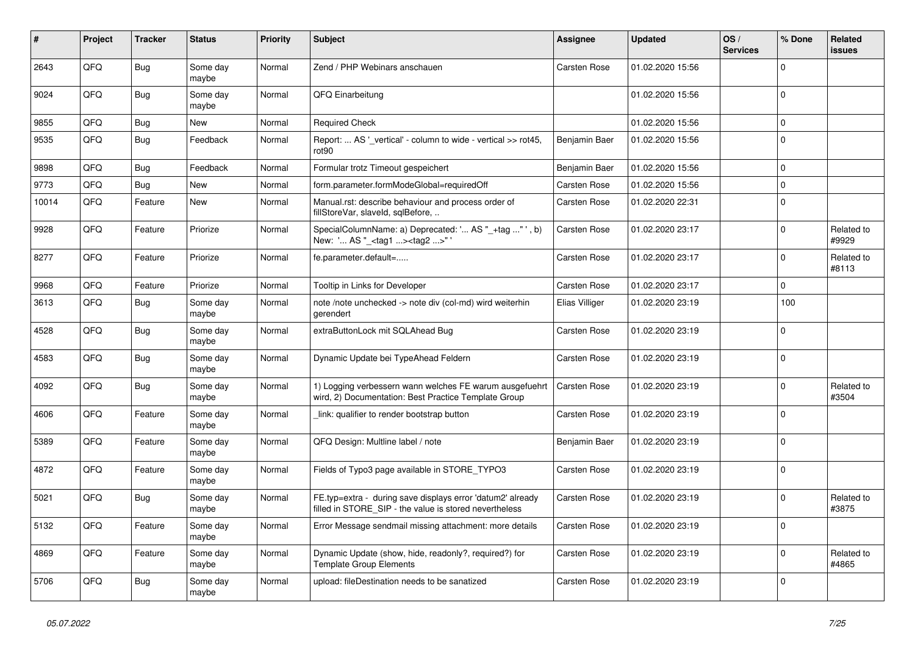| $\vert$ # | Project | <b>Tracker</b> | <b>Status</b>     | <b>Priority</b> | <b>Subject</b>                                                                                                       | Assignee            | <b>Updated</b>   | OS/<br><b>Services</b> | % Done      | Related<br>issues   |
|-----------|---------|----------------|-------------------|-----------------|----------------------------------------------------------------------------------------------------------------------|---------------------|------------------|------------------------|-------------|---------------------|
| 2643      | QFQ     | <b>Bug</b>     | Some day<br>maybe | Normal          | Zend / PHP Webinars anschauen                                                                                        | Carsten Rose        | 01.02.2020 15:56 |                        | $\Omega$    |                     |
| 9024      | QFQ     | <b>Bug</b>     | Some day<br>maybe | Normal          | QFQ Einarbeitung                                                                                                     |                     | 01.02.2020 15:56 |                        | $\Omega$    |                     |
| 9855      | QFQ     | <b>Bug</b>     | New               | Normal          | <b>Required Check</b>                                                                                                |                     | 01.02.2020 15:56 |                        | $\mathbf 0$ |                     |
| 9535      | QFQ     | <b>Bug</b>     | Feedback          | Normal          | Report:  AS ' vertical' - column to wide - vertical >> rot45,<br>rot90                                               | Benjamin Baer       | 01.02.2020 15:56 |                        | $\Omega$    |                     |
| 9898      | QFQ     | Bug            | Feedback          | Normal          | Formular trotz Timeout gespeichert                                                                                   | Benjamin Baer       | 01.02.2020 15:56 |                        | $\mathbf 0$ |                     |
| 9773      | QFQ     | <b>Bug</b>     | <b>New</b>        | Normal          | form.parameter.formModeGlobal=requiredOff                                                                            | Carsten Rose        | 01.02.2020 15:56 |                        | $\mathbf 0$ |                     |
| 10014     | QFQ     | Feature        | New               | Normal          | Manual.rst: describe behaviour and process order of<br>fillStoreVar, slaveId, sqlBefore,                             | Carsten Rose        | 01.02.2020 22:31 |                        | $\mathbf 0$ |                     |
| 9928      | QFQ     | Feature        | Priorize          | Normal          | SpecialColumnName: a) Deprecated: ' AS "_+tag " ', b)<br>New: ' AS " <tag1><tag2>"</tag2></tag1>                     | Carsten Rose        | 01.02.2020 23:17 |                        | $\Omega$    | Related to<br>#9929 |
| 8277      | QFQ     | Feature        | Priorize          | Normal          | fe.parameter.default=                                                                                                | Carsten Rose        | 01.02.2020 23:17 |                        | $\Omega$    | Related to<br>#8113 |
| 9968      | QFQ     | Feature        | Priorize          | Normal          | Tooltip in Links for Developer                                                                                       | Carsten Rose        | 01.02.2020 23:17 |                        | $\mathbf 0$ |                     |
| 3613      | QFQ     | Bug            | Some day<br>maybe | Normal          | note /note unchecked -> note div (col-md) wird weiterhin<br>aerendert                                                | Elias Villiger      | 01.02.2020 23:19 |                        | 100         |                     |
| 4528      | QFQ     | <b>Bug</b>     | Some day<br>maybe | Normal          | extraButtonLock mit SQLAhead Bug                                                                                     | Carsten Rose        | 01.02.2020 23:19 |                        | $\Omega$    |                     |
| 4583      | QFQ     | <b>Bug</b>     | Some day<br>maybe | Normal          | Dynamic Update bei TypeAhead Feldern                                                                                 | Carsten Rose        | 01.02.2020 23:19 |                        | $\Omega$    |                     |
| 4092      | QFQ     | <b>Bug</b>     | Some day<br>maybe | Normal          | 1) Logging verbessern wann welches FE warum ausgefuehrt<br>wird, 2) Documentation: Best Practice Template Group      | <b>Carsten Rose</b> | 01.02.2020 23:19 |                        | $\Omega$    | Related to<br>#3504 |
| 4606      | QFQ     | Feature        | Some day<br>maybe | Normal          | link: qualifier to render bootstrap button                                                                           | Carsten Rose        | 01.02.2020 23:19 |                        | $\Omega$    |                     |
| 5389      | QFQ     | Feature        | Some day<br>maybe | Normal          | QFQ Design: Multline label / note                                                                                    | Benjamin Baer       | 01.02.2020 23:19 |                        | $\Omega$    |                     |
| 4872      | QFQ     | Feature        | Some day<br>maybe | Normal          | Fields of Typo3 page available in STORE_TYPO3                                                                        | Carsten Rose        | 01.02.2020 23:19 |                        | $\Omega$    |                     |
| 5021      | QFQ     | <b>Bug</b>     | Some day<br>maybe | Normal          | FE.typ=extra - during save displays error 'datum2' already<br>filled in STORE_SIP - the value is stored nevertheless | Carsten Rose        | 01.02.2020 23:19 |                        | $\mathbf 0$ | Related to<br>#3875 |
| 5132      | QFQ     | Feature        | Some day<br>maybe | Normal          | Error Message sendmail missing attachment: more details                                                              | Carsten Rose        | 01.02.2020 23:19 |                        | $\Omega$    |                     |
| 4869      | QFQ     | Feature        | Some day<br>maybe | Normal          | Dynamic Update (show, hide, readonly?, required?) for<br><b>Template Group Elements</b>                              | Carsten Rose        | 01.02.2020 23:19 |                        | $\Omega$    | Related to<br>#4865 |
| 5706      | QFQ     | Bug            | Some day<br>maybe | Normal          | upload: fileDestination needs to be sanatized                                                                        | Carsten Rose        | 01.02.2020 23:19 |                        | $\mathbf 0$ |                     |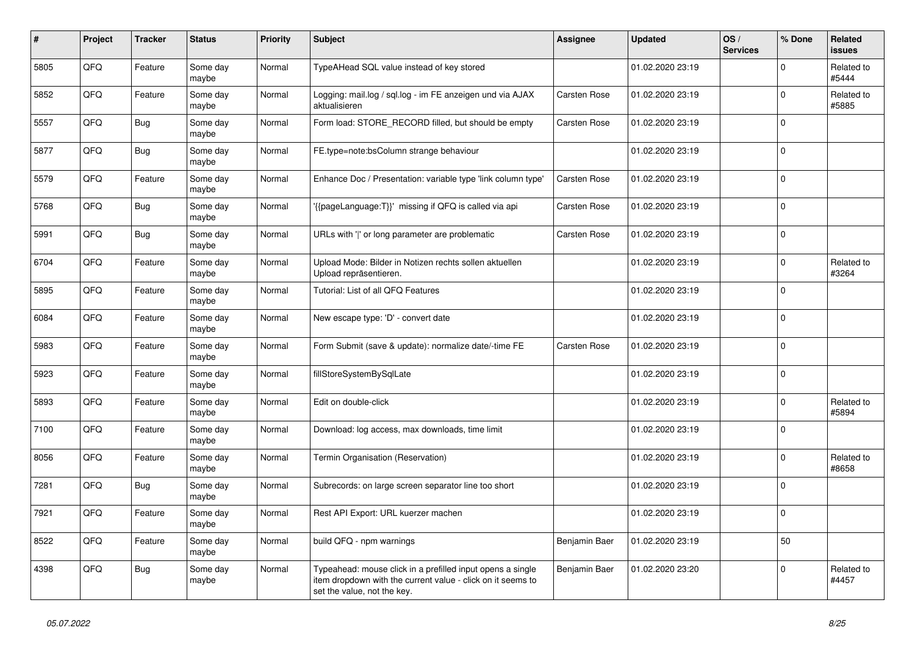| #    | Project | <b>Tracker</b> | <b>Status</b>     | <b>Priority</b> | <b>Subject</b>                                                                                                                                           | Assignee            | <b>Updated</b>   | OS/<br><b>Services</b> | % Done      | Related<br><b>issues</b> |
|------|---------|----------------|-------------------|-----------------|----------------------------------------------------------------------------------------------------------------------------------------------------------|---------------------|------------------|------------------------|-------------|--------------------------|
| 5805 | QFQ     | Feature        | Some day<br>maybe | Normal          | TypeAHead SQL value instead of key stored                                                                                                                |                     | 01.02.2020 23:19 |                        | $\Omega$    | Related to<br>#5444      |
| 5852 | QFQ     | Feature        | Some day<br>maybe | Normal          | Logging: mail.log / sql.log - im FE anzeigen und via AJAX<br>aktualisieren                                                                               | <b>Carsten Rose</b> | 01.02.2020 23:19 |                        | $\Omega$    | Related to<br>#5885      |
| 5557 | QFQ     | <b>Bug</b>     | Some day<br>maybe | Normal          | Form load: STORE_RECORD filled, but should be empty                                                                                                      | Carsten Rose        | 01.02.2020 23:19 |                        | $\Omega$    |                          |
| 5877 | QFQ     | Bug            | Some day<br>maybe | Normal          | FE.type=note:bsColumn strange behaviour                                                                                                                  |                     | 01.02.2020 23:19 |                        | $\Omega$    |                          |
| 5579 | QFQ     | Feature        | Some day<br>maybe | Normal          | Enhance Doc / Presentation: variable type 'link column type'                                                                                             | <b>Carsten Rose</b> | 01.02.2020 23:19 |                        | $\mathbf 0$ |                          |
| 5768 | QFQ     | <b>Bug</b>     | Some day<br>maybe | Normal          | '{{pageLanguage:T}}' missing if QFQ is called via api                                                                                                    | Carsten Rose        | 01.02.2020 23:19 |                        | $\Omega$    |                          |
| 5991 | QFQ     | <b>Bug</b>     | Some day<br>maybe | Normal          | URLs with ' ' or long parameter are problematic                                                                                                          | Carsten Rose        | 01.02.2020 23:19 |                        | $\Omega$    |                          |
| 6704 | QFQ     | Feature        | Some day<br>maybe | Normal          | Upload Mode: Bilder in Notizen rechts sollen aktuellen<br>Upload repräsentieren.                                                                         |                     | 01.02.2020 23:19 |                        | $\mathbf 0$ | Related to<br>#3264      |
| 5895 | QFQ     | Feature        | Some day<br>maybe | Normal          | Tutorial: List of all QFQ Features                                                                                                                       |                     | 01.02.2020 23:19 |                        | $\Omega$    |                          |
| 6084 | QFQ     | Feature        | Some day<br>maybe | Normal          | New escape type: 'D' - convert date                                                                                                                      |                     | 01.02.2020 23:19 |                        | $\Omega$    |                          |
| 5983 | QFQ     | Feature        | Some day<br>maybe | Normal          | Form Submit (save & update): normalize date/-time FE                                                                                                     | <b>Carsten Rose</b> | 01.02.2020 23:19 |                        | $\mathbf 0$ |                          |
| 5923 | QFQ     | Feature        | Some day<br>maybe | Normal          | fillStoreSystemBySqlLate                                                                                                                                 |                     | 01.02.2020 23:19 |                        | $\Omega$    |                          |
| 5893 | QFQ     | Feature        | Some day<br>maybe | Normal          | Edit on double-click                                                                                                                                     |                     | 01.02.2020 23:19 |                        | $\Omega$    | Related to<br>#5894      |
| 7100 | QFQ     | Feature        | Some day<br>maybe | Normal          | Download: log access, max downloads, time limit                                                                                                          |                     | 01.02.2020 23:19 |                        | $\Omega$    |                          |
| 8056 | QFQ     | Feature        | Some day<br>maybe | Normal          | Termin Organisation (Reservation)                                                                                                                        |                     | 01.02.2020 23:19 |                        | $\Omega$    | Related to<br>#8658      |
| 7281 | QFQ     | <b>Bug</b>     | Some day<br>maybe | Normal          | Subrecords: on large screen separator line too short                                                                                                     |                     | 01.02.2020 23:19 |                        | $\Omega$    |                          |
| 7921 | QFQ     | Feature        | Some day<br>maybe | Normal          | Rest API Export: URL kuerzer machen                                                                                                                      |                     | 01.02.2020 23:19 |                        | $\Omega$    |                          |
| 8522 | QFQ     | Feature        | Some day<br>maybe | Normal          | build QFQ - npm warnings                                                                                                                                 | Benjamin Baer       | 01.02.2020 23:19 |                        | 50          |                          |
| 4398 | QFQ     | <b>Bug</b>     | Some day<br>maybe | Normal          | Typeahead: mouse click in a prefilled input opens a single<br>item dropdown with the current value - click on it seems to<br>set the value, not the key. | Benjamin Baer       | 01.02.2020 23:20 |                        | $\Omega$    | Related to<br>#4457      |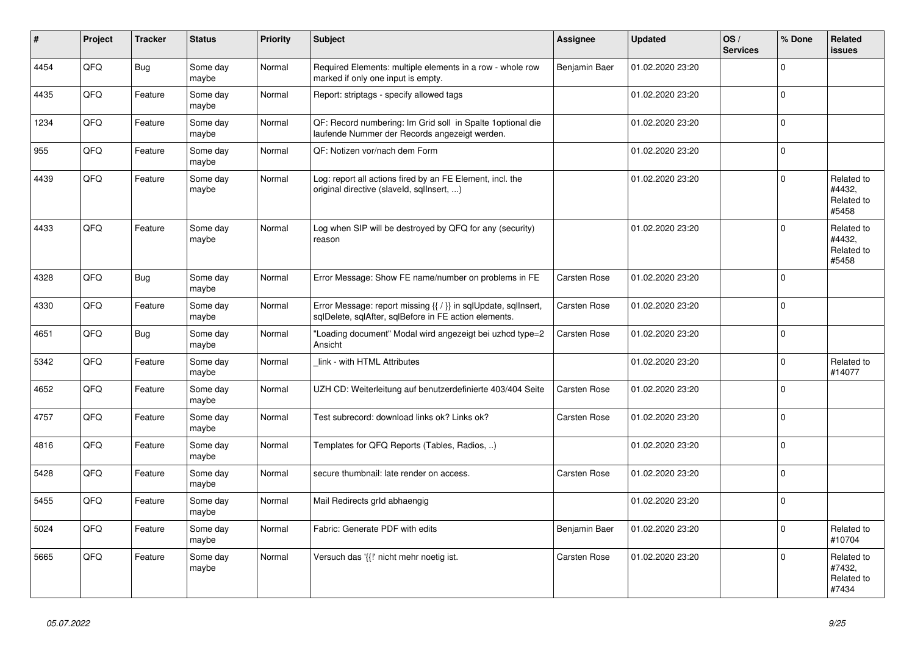| #    | <b>Project</b> | <b>Tracker</b> | <b>Status</b>     | <b>Priority</b> | <b>Subject</b>                                                                                                          | <b>Assignee</b>     | <b>Updated</b>   | OS/<br><b>Services</b> | % Done       | Related<br><b>issues</b>                    |
|------|----------------|----------------|-------------------|-----------------|-------------------------------------------------------------------------------------------------------------------------|---------------------|------------------|------------------------|--------------|---------------------------------------------|
| 4454 | QFQ            | <b>Bug</b>     | Some day<br>maybe | Normal          | Required Elements: multiple elements in a row - whole row<br>marked if only one input is empty.                         | Benjamin Baer       | 01.02.2020 23:20 |                        | $\Omega$     |                                             |
| 4435 | QFQ            | Feature        | Some day<br>maybe | Normal          | Report: striptags - specify allowed tags                                                                                |                     | 01.02.2020 23:20 |                        | $\Omega$     |                                             |
| 1234 | QFQ            | Feature        | Some day<br>maybe | Normal          | QF: Record numbering: Im Grid soll in Spalte 1 optional die<br>laufende Nummer der Records angezeigt werden.            |                     | 01.02.2020 23:20 |                        | $\Omega$     |                                             |
| 955  | QFQ            | Feature        | Some day<br>maybe | Normal          | QF: Notizen vor/nach dem Form                                                                                           |                     | 01.02.2020 23:20 |                        | $\Omega$     |                                             |
| 4439 | QFQ            | Feature        | Some day<br>maybe | Normal          | Log: report all actions fired by an FE Element, incl. the<br>original directive (slaveld, sqllnsert, )                  |                     | 01.02.2020 23:20 |                        | $\Omega$     | Related to<br>#4432,<br>Related to<br>#5458 |
| 4433 | QFQ            | Feature        | Some day<br>maybe | Normal          | Log when SIP will be destroyed by QFQ for any (security)<br>reason                                                      |                     | 01.02.2020 23:20 |                        | $\Omega$     | Related to<br>#4432,<br>Related to<br>#5458 |
| 4328 | QFQ            | <b>Bug</b>     | Some day<br>maybe | Normal          | Error Message: Show FE name/number on problems in FE                                                                    | Carsten Rose        | 01.02.2020 23:20 |                        | $\Omega$     |                                             |
| 4330 | QFQ            | Feature        | Some day<br>maybe | Normal          | Error Message: report missing {{ / }} in sqlUpdate, sqlInsert,<br>sglDelete, sglAfter, sglBefore in FE action elements. | <b>Carsten Rose</b> | 01.02.2020 23:20 |                        | $\Omega$     |                                             |
| 4651 | QFQ            | Bug            | Some dav<br>maybe | Normal          | "Loading document" Modal wird angezeigt bei uzhcd type=2<br>Ansicht                                                     | Carsten Rose        | 01.02.2020 23:20 |                        | $\Omega$     |                                             |
| 5342 | QFQ            | Feature        | Some day<br>maybe | Normal          | link - with HTML Attributes                                                                                             |                     | 01.02.2020 23:20 |                        | $\mathbf 0$  | Related to<br>#14077                        |
| 4652 | QFQ            | Feature        | Some day<br>maybe | Normal          | UZH CD: Weiterleitung auf benutzerdefinierte 403/404 Seite                                                              | <b>Carsten Rose</b> | 01.02.2020 23:20 |                        | $\Omega$     |                                             |
| 4757 | QFQ            | Feature        | Some day<br>maybe | Normal          | Test subrecord: download links ok? Links ok?                                                                            | Carsten Rose        | 01.02.2020 23:20 |                        | <sup>0</sup> |                                             |
| 4816 | QFQ            | Feature        | Some day<br>maybe | Normal          | Templates for QFQ Reports (Tables, Radios, )                                                                            |                     | 01.02.2020 23:20 |                        | $\Omega$     |                                             |
| 5428 | QFQ            | Feature        | Some day<br>maybe | Normal          | secure thumbnail: late render on access.                                                                                | <b>Carsten Rose</b> | 01.02.2020 23:20 |                        | $\Omega$     |                                             |
| 5455 | QFQ            | Feature        | Some day<br>maybe | Normal          | Mail Redirects grld abhaengig                                                                                           |                     | 01.02.2020 23:20 |                        | $\Omega$     |                                             |
| 5024 | QFQ            | Feature        | Some day<br>maybe | Normal          | Fabric: Generate PDF with edits                                                                                         | Benjamin Baer       | 01.02.2020 23:20 |                        | $\Omega$     | Related to<br>#10704                        |
| 5665 | QFQ            | Feature        | Some day<br>maybe | Normal          | Versuch das '{{!' nicht mehr noetig ist.                                                                                | Carsten Rose        | 01.02.2020 23:20 |                        | $\mathbf 0$  | Related to<br>#7432,<br>Related to<br>#7434 |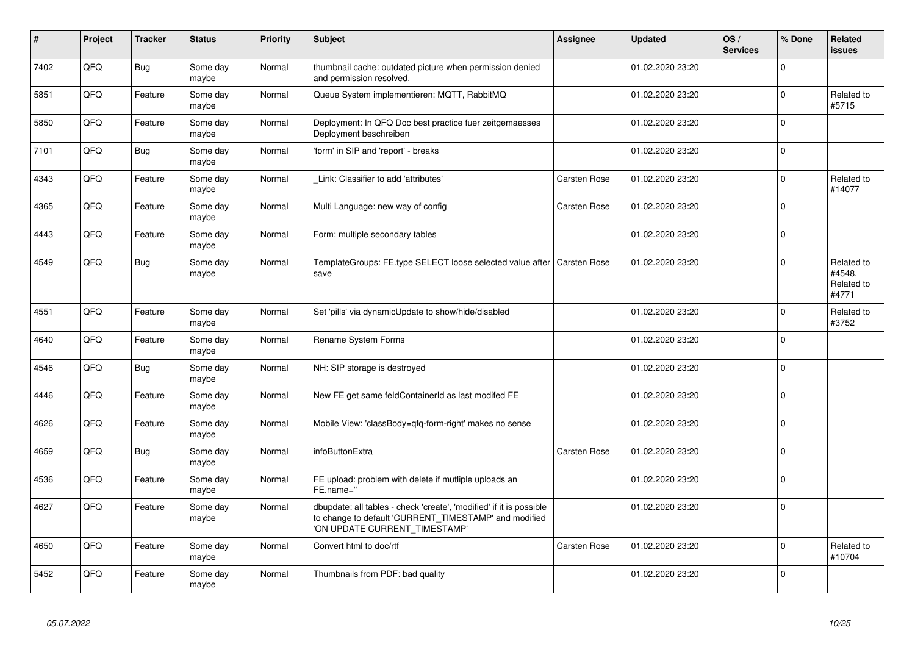| $\vert$ # | Project | <b>Tracker</b> | <b>Status</b>     | <b>Priority</b> | <b>Subject</b>                                                                                                                                                | <b>Assignee</b> | <b>Updated</b>   | OS/<br><b>Services</b> | % Done      | Related<br>issues                           |
|-----------|---------|----------------|-------------------|-----------------|---------------------------------------------------------------------------------------------------------------------------------------------------------------|-----------------|------------------|------------------------|-------------|---------------------------------------------|
| 7402      | QFQ     | <b>Bug</b>     | Some day<br>maybe | Normal          | thumbnail cache: outdated picture when permission denied<br>and permission resolved.                                                                          |                 | 01.02.2020 23:20 |                        | $\Omega$    |                                             |
| 5851      | QFQ     | Feature        | Some day<br>maybe | Normal          | Queue System implementieren: MQTT, RabbitMQ                                                                                                                   |                 | 01.02.2020 23:20 |                        | $\Omega$    | Related to<br>#5715                         |
| 5850      | QFQ     | Feature        | Some day<br>maybe | Normal          | Deployment: In QFQ Doc best practice fuer zeitgemaesses<br>Deployment beschreiben                                                                             |                 | 01.02.2020 23:20 |                        | $\Omega$    |                                             |
| 7101      | QFQ     | <b>Bug</b>     | Some day<br>maybe | Normal          | 'form' in SIP and 'report' - breaks                                                                                                                           |                 | 01.02.2020 23:20 |                        | $\mathbf 0$ |                                             |
| 4343      | QFQ     | Feature        | Some day<br>maybe | Normal          | Link: Classifier to add 'attributes'                                                                                                                          | Carsten Rose    | 01.02.2020 23:20 |                        | $\mathbf 0$ | Related to<br>#14077                        |
| 4365      | QFQ     | Feature        | Some day<br>maybe | Normal          | Multi Language: new way of config                                                                                                                             | Carsten Rose    | 01.02.2020 23:20 |                        | $\Omega$    |                                             |
| 4443      | QFQ     | Feature        | Some day<br>maybe | Normal          | Form: multiple secondary tables                                                                                                                               |                 | 01.02.2020 23:20 |                        | $\Omega$    |                                             |
| 4549      | QFQ     | <b>Bug</b>     | Some day<br>maybe | Normal          | TemplateGroups: FE.type SELECT loose selected value after   Carsten Rose<br>save                                                                              |                 | 01.02.2020 23:20 |                        | $\mathbf 0$ | Related to<br>#4548,<br>Related to<br>#4771 |
| 4551      | QFQ     | Feature        | Some day<br>maybe | Normal          | Set 'pills' via dynamicUpdate to show/hide/disabled                                                                                                           |                 | 01.02.2020 23:20 |                        | $\Omega$    | Related to<br>#3752                         |
| 4640      | QFQ     | Feature        | Some day<br>maybe | Normal          | Rename System Forms                                                                                                                                           |                 | 01.02.2020 23:20 |                        | $\Omega$    |                                             |
| 4546      | QFQ     | <b>Bug</b>     | Some day<br>maybe | Normal          | NH: SIP storage is destroyed                                                                                                                                  |                 | 01.02.2020 23:20 |                        | $\mathbf 0$ |                                             |
| 4446      | QFQ     | Feature        | Some day<br>maybe | Normal          | New FE get same feldContainerId as last modifed FE                                                                                                            |                 | 01.02.2020 23:20 |                        | $\mathbf 0$ |                                             |
| 4626      | QFQ     | Feature        | Some day<br>maybe | Normal          | Mobile View: 'classBody=qfq-form-right' makes no sense                                                                                                        |                 | 01.02.2020 23:20 |                        | $\mathbf 0$ |                                             |
| 4659      | QFQ     | <b>Bug</b>     | Some day<br>maybe | Normal          | infoButtonExtra                                                                                                                                               | Carsten Rose    | 01.02.2020 23:20 |                        | $\Omega$    |                                             |
| 4536      | QFQ     | Feature        | Some day<br>maybe | Normal          | FE upload: problem with delete if mutliple uploads an<br>FE.name="                                                                                            |                 | 01.02.2020 23:20 |                        | $\mathbf 0$ |                                             |
| 4627      | QFQ     | Feature        | Some day<br>maybe | Normal          | dbupdate: all tables - check 'create', 'modified' if it is possible<br>to change to default 'CURRENT_TIMESTAMP' and modified<br>'ON UPDATE CURRENT_TIMESTAMP' |                 | 01.02.2020 23:20 |                        | $\mathbf 0$ |                                             |
| 4650      | QFQ     | Feature        | Some day<br>maybe | Normal          | Convert html to doc/rtf                                                                                                                                       | Carsten Rose    | 01.02.2020 23:20 |                        | $\mathbf 0$ | Related to<br>#10704                        |
| 5452      | QFQ     | Feature        | Some day<br>maybe | Normal          | Thumbnails from PDF: bad quality                                                                                                                              |                 | 01.02.2020 23:20 |                        | $\mathbf 0$ |                                             |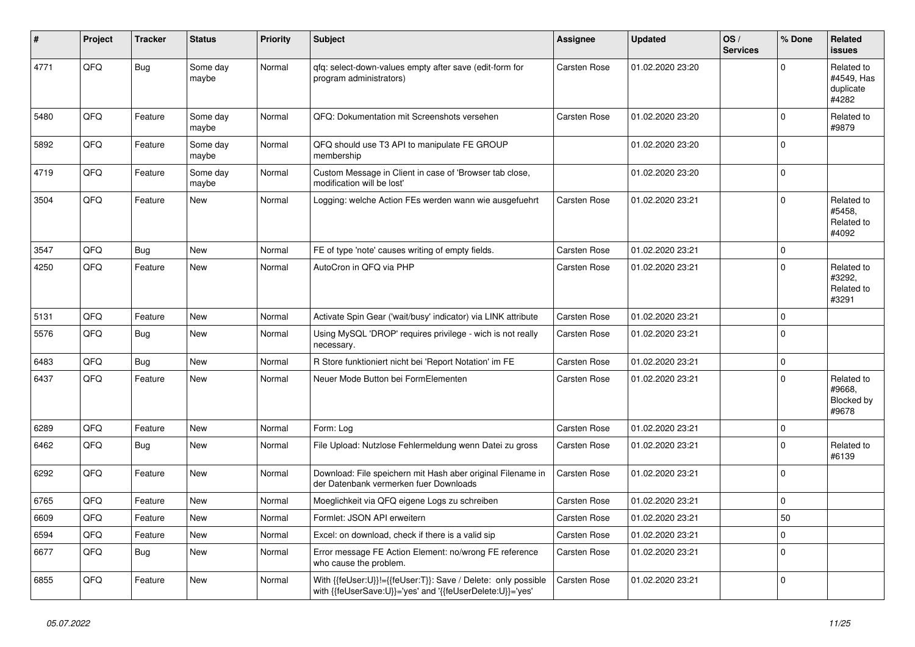| ∦    | Project | <b>Tracker</b> | <b>Status</b>     | <b>Priority</b> | <b>Subject</b>                                                                                                             | Assignee            | <b>Updated</b>   | OS/<br><b>Services</b> | % Done      | Related<br>issues                              |
|------|---------|----------------|-------------------|-----------------|----------------------------------------------------------------------------------------------------------------------------|---------------------|------------------|------------------------|-------------|------------------------------------------------|
| 4771 | QFQ     | <b>Bug</b>     | Some day<br>maybe | Normal          | qfq: select-down-values empty after save (edit-form for<br>program administrators)                                         | Carsten Rose        | 01.02.2020 23:20 |                        | 0           | Related to<br>#4549, Has<br>duplicate<br>#4282 |
| 5480 | QFQ     | Feature        | Some day<br>maybe | Normal          | QFQ: Dokumentation mit Screenshots versehen                                                                                | Carsten Rose        | 01.02.2020 23:20 |                        | $\Omega$    | Related to<br>#9879                            |
| 5892 | QFQ     | Feature        | Some day<br>maybe | Normal          | QFQ should use T3 API to manipulate FE GROUP<br>membership                                                                 |                     | 01.02.2020 23:20 |                        | $\Omega$    |                                                |
| 4719 | QFQ     | Feature        | Some day<br>maybe | Normal          | Custom Message in Client in case of 'Browser tab close,<br>modification will be lost'                                      |                     | 01.02.2020 23:20 |                        | $\Omega$    |                                                |
| 3504 | QFQ     | Feature        | New               | Normal          | Logging: welche Action FEs werden wann wie ausgefuehrt                                                                     | Carsten Rose        | 01.02.2020 23:21 |                        | $\Omega$    | Related to<br>#5458,<br>Related to<br>#4092    |
| 3547 | QFQ     | <b>Bug</b>     | <b>New</b>        | Normal          | FE of type 'note' causes writing of empty fields.                                                                          | Carsten Rose        | 01.02.2020 23:21 |                        | $\Omega$    |                                                |
| 4250 | QFQ     | Feature        | New               | Normal          | AutoCron in QFQ via PHP                                                                                                    | Carsten Rose        | 01.02.2020 23:21 |                        | 0           | Related to<br>#3292,<br>Related to<br>#3291    |
| 5131 | QFQ     | Feature        | <b>New</b>        | Normal          | Activate Spin Gear ('wait/busy' indicator) via LINK attribute                                                              | Carsten Rose        | 01.02.2020 23:21 |                        | $\Omega$    |                                                |
| 5576 | QFQ     | <b>Bug</b>     | New               | Normal          | Using MySQL 'DROP' requires privilege - wich is not really<br>necessary.                                                   | <b>Carsten Rose</b> | 01.02.2020 23:21 |                        | $\Omega$    |                                                |
| 6483 | QFQ     | Bug            | New               | Normal          | R Store funktioniert nicht bei 'Report Notation' im FE                                                                     | Carsten Rose        | 01.02.2020 23:21 |                        | 0           |                                                |
| 6437 | QFQ     | Feature        | New               | Normal          | Neuer Mode Button bei FormElementen                                                                                        | Carsten Rose        | 01.02.2020 23:21 |                        | $\Omega$    | Related to<br>#9668,<br>Blocked by<br>#9678    |
| 6289 | QFQ     | Feature        | <b>New</b>        | Normal          | Form: Log                                                                                                                  | <b>Carsten Rose</b> | 01.02.2020 23:21 |                        | $\mathbf 0$ |                                                |
| 6462 | QFQ     | <b>Bug</b>     | <b>New</b>        | Normal          | File Upload: Nutzlose Fehlermeldung wenn Datei zu gross                                                                    | Carsten Rose        | 01.02.2020 23:21 |                        | $\Omega$    | Related to<br>#6139                            |
| 6292 | QFQ     | Feature        | New               | Normal          | Download: File speichern mit Hash aber original Filename in<br>der Datenbank vermerken fuer Downloads                      | Carsten Rose        | 01.02.2020 23:21 |                        | 0           |                                                |
| 6765 | QFQ     | Feature        | New               | Normal          | Moeglichkeit via QFQ eigene Logs zu schreiben                                                                              | Carsten Rose        | 01.02.2020 23:21 |                        | $\Omega$    |                                                |
| 6609 | QFQ     | Feature        | New               | Normal          | Formlet: JSON API erweitern                                                                                                | Carsten Rose        | 01.02.2020 23:21 |                        | 50          |                                                |
| 6594 | QFQ     | Feature        | New               | Normal          | Excel: on download, check if there is a valid sip                                                                          | Carsten Rose        | 01.02.2020 23:21 |                        | 0           |                                                |
| 6677 | QFQ     | <b>Bug</b>     | New               | Normal          | Error message FE Action Element: no/wrong FE reference<br>who cause the problem.                                           | Carsten Rose        | 01.02.2020 23:21 |                        | $\Omega$    |                                                |
| 6855 | QFQ     | Feature        | New               | Normal          | With {{feUser:U}}!={{feUser:T}}: Save / Delete: only possible<br>with {{feUserSave:U}}='yes' and '{{feUserDelete:U}}='yes' | Carsten Rose        | 01.02.2020 23:21 |                        | $\Omega$    |                                                |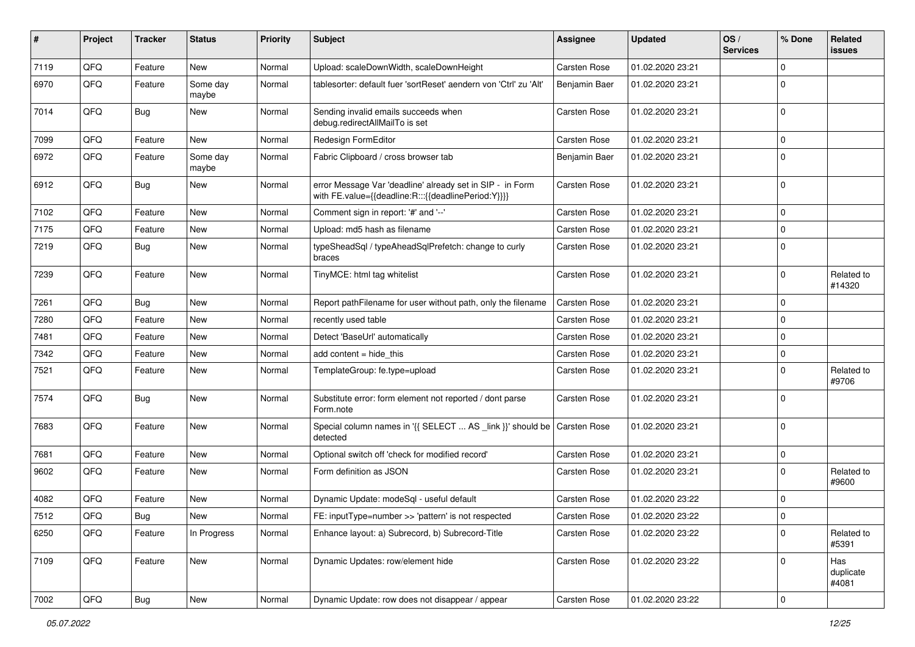| ∦    | Project | <b>Tracker</b> | <b>Status</b>     | <b>Priority</b> | Subject                                                                                                          | Assignee            | <b>Updated</b>   | OS/<br><b>Services</b> | % Done      | Related<br>issues         |
|------|---------|----------------|-------------------|-----------------|------------------------------------------------------------------------------------------------------------------|---------------------|------------------|------------------------|-------------|---------------------------|
| 7119 | QFQ     | Feature        | New               | Normal          | Upload: scaleDownWidth, scaleDownHeight                                                                          | Carsten Rose        | 01.02.2020 23:21 |                        | 0           |                           |
| 6970 | QFQ     | Feature        | Some day<br>maybe | Normal          | tablesorter: default fuer 'sortReset' aendern von 'Ctrl' zu 'Alt'                                                | Benjamin Baer       | 01.02.2020 23:21 |                        | $\mathbf 0$ |                           |
| 7014 | QFQ     | <b>Bug</b>     | New               | Normal          | Sending invalid emails succeeds when<br>debug.redirectAllMailTo is set                                           | Carsten Rose        | 01.02.2020 23:21 |                        | $\mathbf 0$ |                           |
| 7099 | QFQ     | Feature        | New               | Normal          | Redesign FormEditor                                                                                              | Carsten Rose        | 01.02.2020 23:21 |                        | $\mathbf 0$ |                           |
| 6972 | QFQ     | Feature        | Some day<br>maybe | Normal          | Fabric Clipboard / cross browser tab                                                                             | Benjamin Baer       | 01.02.2020 23:21 |                        | $\mathbf 0$ |                           |
| 6912 | QFQ     | Bug            | New               | Normal          | error Message Var 'deadline' already set in SIP - in Form<br>with FE.value={{deadline:R:::{{deadlinePeriod:Y}}}} | Carsten Rose        | 01.02.2020 23:21 |                        | $\mathbf 0$ |                           |
| 7102 | QFQ     | Feature        | New               | Normal          | Comment sign in report: '#' and '--'                                                                             | Carsten Rose        | 01.02.2020 23:21 |                        | $\mathbf 0$ |                           |
| 7175 | QFQ     | Feature        | <b>New</b>        | Normal          | Upload: md5 hash as filename                                                                                     | Carsten Rose        | 01.02.2020 23:21 |                        | $\mathbf 0$ |                           |
| 7219 | QFQ     | Bug            | New               | Normal          | typeSheadSql / typeAheadSqlPrefetch: change to curly<br>braces                                                   | Carsten Rose        | 01.02.2020 23:21 |                        | $\Omega$    |                           |
| 7239 | QFQ     | Feature        | New               | Normal          | TinyMCE: html tag whitelist                                                                                      | Carsten Rose        | 01.02.2020 23:21 |                        | $\mathbf 0$ | Related to<br>#14320      |
| 7261 | QFQ     | Bug            | <b>New</b>        | Normal          | Report pathFilename for user without path, only the filename                                                     | Carsten Rose        | 01.02.2020 23:21 |                        | $\mathbf 0$ |                           |
| 7280 | QFQ     | Feature        | New               | Normal          | recently used table                                                                                              | Carsten Rose        | 01.02.2020 23:21 |                        | $\mathbf 0$ |                           |
| 7481 | QFQ     | Feature        | New               | Normal          | Detect 'BaseUrl' automatically                                                                                   | Carsten Rose        | 01.02.2020 23:21 |                        | $\mathbf 0$ |                           |
| 7342 | QFQ     | Feature        | <b>New</b>        | Normal          | add content = hide_this                                                                                          | Carsten Rose        | 01.02.2020 23:21 |                        | 0           |                           |
| 7521 | QFQ     | Feature        | New               | Normal          | TemplateGroup: fe.type=upload                                                                                    | Carsten Rose        | 01.02.2020 23:21 |                        | $\Omega$    | Related to<br>#9706       |
| 7574 | QFQ     | <b>Bug</b>     | New               | Normal          | Substitute error: form element not reported / dont parse<br>Form.note                                            | Carsten Rose        | 01.02.2020 23:21 |                        | $\Omega$    |                           |
| 7683 | QFQ     | Feature        | New               | Normal          | Special column names in '{{ SELECT  AS _link }}' should be<br>detected                                           | <b>Carsten Rose</b> | 01.02.2020 23:21 |                        | $\Omega$    |                           |
| 7681 | QFQ     | Feature        | New               | Normal          | Optional switch off 'check for modified record'                                                                  | Carsten Rose        | 01.02.2020 23:21 |                        | 0           |                           |
| 9602 | QFQ     | Feature        | New               | Normal          | Form definition as JSON                                                                                          | Carsten Rose        | 01.02.2020 23:21 |                        | 0           | Related to<br>#9600       |
| 4082 | QFQ     | Feature        | New               | Normal          | Dynamic Update: modeSql - useful default                                                                         | Carsten Rose        | 01.02.2020 23:22 |                        | $\mathbf 0$ |                           |
| 7512 | QFQ     | Bug            | New               | Normal          | FE: inputType=number >> 'pattern' is not respected                                                               | Carsten Rose        | 01.02.2020 23:22 |                        | 0           |                           |
| 6250 | QFQ     | Feature        | In Progress       | Normal          | Enhance layout: a) Subrecord, b) Subrecord-Title                                                                 | Carsten Rose        | 01.02.2020 23:22 |                        | 0           | Related to<br>#5391       |
| 7109 | QFQ     | Feature        | New               | Normal          | Dynamic Updates: row/element hide                                                                                | Carsten Rose        | 01.02.2020 23:22 |                        | 0           | Has<br>duplicate<br>#4081 |
| 7002 | QFQ     | Bug            | New               | Normal          | Dynamic Update: row does not disappear / appear                                                                  | Carsten Rose        | 01.02.2020 23:22 |                        | 0           |                           |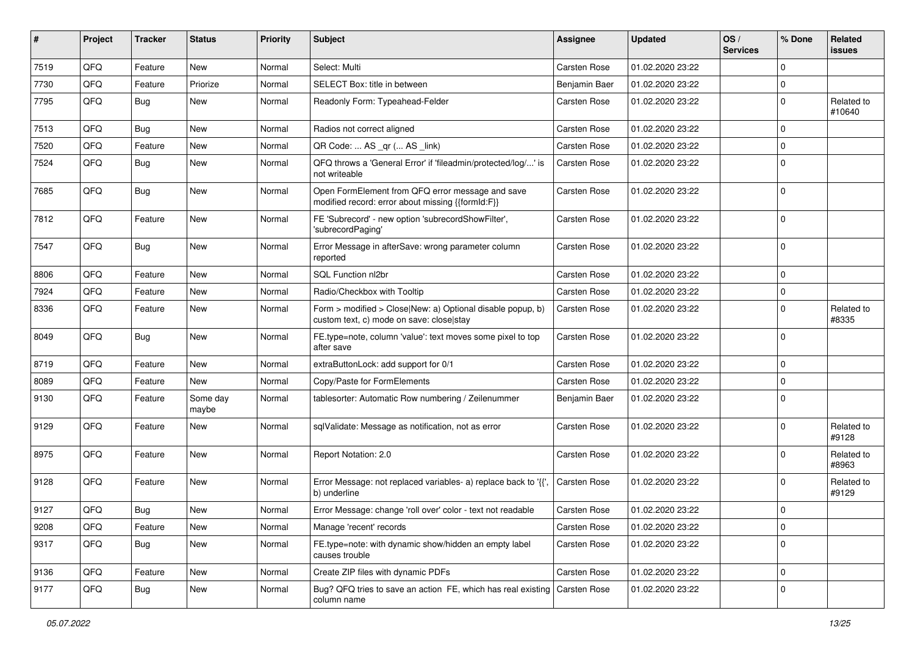| #    | Project | <b>Tracker</b> | <b>Status</b>     | <b>Priority</b> | <b>Subject</b>                                                                                         | <b>Assignee</b>     | <b>Updated</b>   | OS/<br><b>Services</b> | % Done      | Related<br>issues    |
|------|---------|----------------|-------------------|-----------------|--------------------------------------------------------------------------------------------------------|---------------------|------------------|------------------------|-------------|----------------------|
| 7519 | QFQ     | Feature        | New               | Normal          | Select: Multi                                                                                          | Carsten Rose        | 01.02.2020 23:22 |                        | 0           |                      |
| 7730 | QFQ     | Feature        | Priorize          | Normal          | SELECT Box: title in between                                                                           | Benjamin Baer       | 01.02.2020 23:22 |                        | $\mathbf 0$ |                      |
| 7795 | QFQ     | Bug            | New               | Normal          | Readonly Form: Typeahead-Felder                                                                        | Carsten Rose        | 01.02.2020 23:22 |                        | $\mathbf 0$ | Related to<br>#10640 |
| 7513 | QFQ     | <b>Bug</b>     | <b>New</b>        | Normal          | Radios not correct aligned                                                                             | Carsten Rose        | 01.02.2020 23:22 |                        | $\mathbf 0$ |                      |
| 7520 | QFQ     | Feature        | New               | Normal          | QR Code:  AS _qr ( AS _link)                                                                           | Carsten Rose        | 01.02.2020 23:22 |                        | 0           |                      |
| 7524 | QFQ     | Bug            | New               | Normal          | QFQ throws a 'General Error' if 'fileadmin/protected/log/' is<br>not writeable                         | Carsten Rose        | 01.02.2020 23:22 |                        | $\mathbf 0$ |                      |
| 7685 | QFQ     | <b>Bug</b>     | New               | Normal          | Open FormElement from QFQ error message and save<br>modified record: error about missing {{formId:F}}  | <b>Carsten Rose</b> | 01.02.2020 23:22 |                        | $\mathbf 0$ |                      |
| 7812 | QFQ     | Feature        | New               | Normal          | FE 'Subrecord' - new option 'subrecordShowFilter',<br>'subrecordPaging'                                | Carsten Rose        | 01.02.2020 23:22 |                        | 0           |                      |
| 7547 | QFQ     | <b>Bug</b>     | New               | Normal          | Error Message in afterSave: wrong parameter column<br>reported                                         | <b>Carsten Rose</b> | 01.02.2020 23:22 |                        | $\mathbf 0$ |                      |
| 8806 | QFQ     | Feature        | <b>New</b>        | Normal          | SQL Function nl2br                                                                                     | Carsten Rose        | 01.02.2020 23:22 |                        | $\mathbf 0$ |                      |
| 7924 | QFQ     | Feature        | New               | Normal          | Radio/Checkbox with Tooltip                                                                            | Carsten Rose        | 01.02.2020 23:22 |                        | 0           |                      |
| 8336 | QFQ     | Feature        | New               | Normal          | Form > modified > Close New: a) Optional disable popup, b)<br>custom text, c) mode on save: close stay | Carsten Rose        | 01.02.2020 23:22 |                        | 0           | Related to<br>#8335  |
| 8049 | QFQ     | Bug            | New               | Normal          | FE.type=note, column 'value': text moves some pixel to top<br>after save                               | Carsten Rose        | 01.02.2020 23:22 |                        | 0           |                      |
| 8719 | QFQ     | Feature        | New               | Normal          | extraButtonLock: add support for 0/1                                                                   | <b>Carsten Rose</b> | 01.02.2020 23:22 |                        | 0           |                      |
| 8089 | QFQ     | Feature        | New               | Normal          | Copy/Paste for FormElements                                                                            | Carsten Rose        | 01.02.2020 23:22 |                        | 0           |                      |
| 9130 | QFQ     | Feature        | Some day<br>maybe | Normal          | tablesorter: Automatic Row numbering / Zeilenummer                                                     | Benjamin Baer       | 01.02.2020 23:22 |                        | 0           |                      |
| 9129 | QFQ     | Feature        | New               | Normal          | sqlValidate: Message as notification, not as error                                                     | <b>Carsten Rose</b> | 01.02.2020 23:22 |                        | $\mathbf 0$ | Related to<br>#9128  |
| 8975 | QFQ     | Feature        | New               | Normal          | Report Notation: 2.0                                                                                   | <b>Carsten Rose</b> | 01.02.2020 23:22 |                        | 0           | Related to<br>#8963  |
| 9128 | QFQ     | Feature        | New               | Normal          | Error Message: not replaced variables- a) replace back to '{',<br>b) underline                         | Carsten Rose        | 01.02.2020 23:22 |                        | 0           | Related to<br>#9129  |
| 9127 | QFQ     | Bug            | New               | Normal          | Error Message: change 'roll over' color - text not readable                                            | Carsten Rose        | 01.02.2020 23:22 |                        | 0           |                      |
| 9208 | QFQ     | Feature        | New               | Normal          | Manage 'recent' records                                                                                | Carsten Rose        | 01.02.2020 23:22 |                        | 0           |                      |
| 9317 | QFQ     | <b>Bug</b>     | New               | Normal          | FE.type=note: with dynamic show/hidden an empty label<br>causes trouble                                | Carsten Rose        | 01.02.2020 23:22 |                        | 0           |                      |
| 9136 | QFQ     | Feature        | New               | Normal          | Create ZIP files with dynamic PDFs                                                                     | Carsten Rose        | 01.02.2020 23:22 |                        | 0           |                      |
| 9177 | QFQ     | <b>Bug</b>     | New               | Normal          | Bug? QFQ tries to save an action FE, which has real existing   Carsten Rose<br>column name             |                     | 01.02.2020 23:22 |                        | 0           |                      |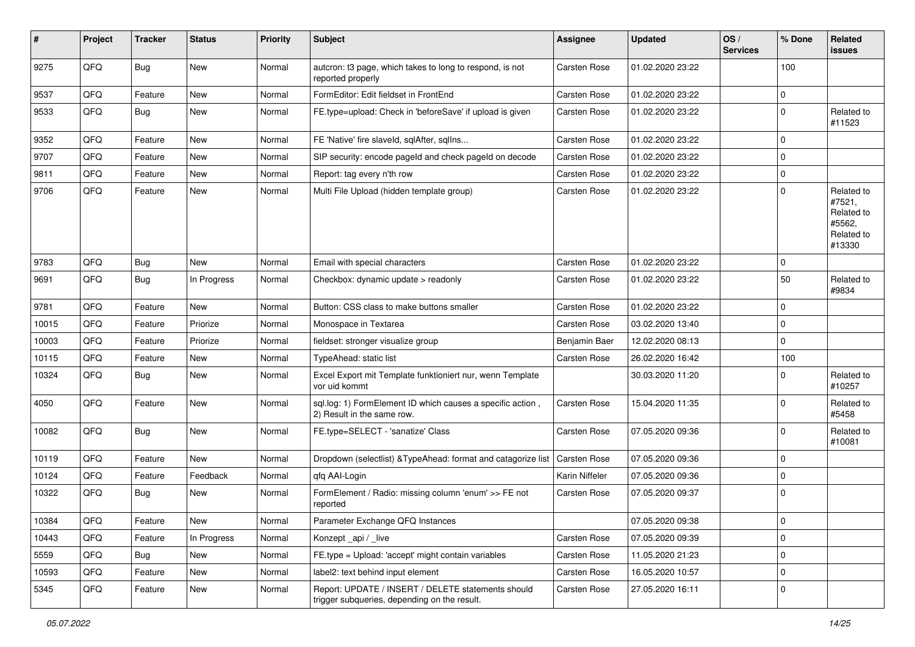| #     | Project | <b>Tracker</b> | <b>Status</b> | <b>Priority</b> | Subject                                                                                            | Assignee            | <b>Updated</b>   | OS/<br><b>Services</b> | % Done      | Related<br>issues                                                    |
|-------|---------|----------------|---------------|-----------------|----------------------------------------------------------------------------------------------------|---------------------|------------------|------------------------|-------------|----------------------------------------------------------------------|
| 9275  | QFQ     | <b>Bug</b>     | New           | Normal          | autcron: t3 page, which takes to long to respond, is not<br>reported properly                      | <b>Carsten Rose</b> | 01.02.2020 23:22 |                        | 100         |                                                                      |
| 9537  | QFQ     | Feature        | New           | Normal          | FormEditor: Edit fieldset in FrontEnd                                                              | Carsten Rose        | 01.02.2020 23:22 |                        | 0           |                                                                      |
| 9533  | QFQ     | Bug            | New           | Normal          | FE.type=upload: Check in 'beforeSave' if upload is given                                           | Carsten Rose        | 01.02.2020 23:22 |                        | $\mathbf 0$ | Related to<br>#11523                                                 |
| 9352  | QFQ     | Feature        | New           | Normal          | FE 'Native' fire slaveld, sqlAfter, sqlIns                                                         | Carsten Rose        | 01.02.2020 23:22 |                        | $\Omega$    |                                                                      |
| 9707  | QFQ     | Feature        | New           | Normal          | SIP security: encode pageld and check pageld on decode                                             | Carsten Rose        | 01.02.2020 23:22 |                        | $\Omega$    |                                                                      |
| 9811  | QFQ     | Feature        | New           | Normal          | Report: tag every n'th row                                                                         | Carsten Rose        | 01.02.2020 23:22 |                        | $\mathbf 0$ |                                                                      |
| 9706  | QFQ     | Feature        | New           | Normal          | Multi File Upload (hidden template group)                                                          | Carsten Rose        | 01.02.2020 23:22 |                        | $\Omega$    | Related to<br>#7521,<br>Related to<br>#5562,<br>Related to<br>#13330 |
| 9783  | QFQ     | <b>Bug</b>     | New           | Normal          | Email with special characters                                                                      | <b>Carsten Rose</b> | 01.02.2020 23:22 |                        | $\mathbf 0$ |                                                                      |
| 9691  | QFQ     | <b>Bug</b>     | In Progress   | Normal          | Checkbox: dynamic update > readonly                                                                | Carsten Rose        | 01.02.2020 23:22 |                        | 50          | Related to<br>#9834                                                  |
| 9781  | QFQ     | Feature        | New           | Normal          | Button: CSS class to make buttons smaller                                                          | Carsten Rose        | 01.02.2020 23:22 |                        | $\Omega$    |                                                                      |
| 10015 | QFQ     | Feature        | Priorize      | Normal          | Monospace in Textarea                                                                              | Carsten Rose        | 03.02.2020 13:40 |                        | $\Omega$    |                                                                      |
| 10003 | QFQ     | Feature        | Priorize      | Normal          | fieldset: stronger visualize group                                                                 | Benjamin Baer       | 12.02.2020 08:13 |                        | $\Omega$    |                                                                      |
| 10115 | QFQ     | Feature        | New           | Normal          | TypeAhead: static list                                                                             | <b>Carsten Rose</b> | 26.02.2020 16:42 |                        | 100         |                                                                      |
| 10324 | QFQ     | Bug            | New           | Normal          | Excel Export mit Template funktioniert nur, wenn Template<br>vor uid kommt                         |                     | 30.03.2020 11:20 |                        | $\Omega$    | Related to<br>#10257                                                 |
| 4050  | QFQ     | Feature        | New           | Normal          | sql.log: 1) FormElement ID which causes a specific action,<br>2) Result in the same row.           | <b>Carsten Rose</b> | 15.04.2020 11:35 |                        | $\Omega$    | Related to<br>#5458                                                  |
| 10082 | QFQ     | <b>Bug</b>     | New           | Normal          | FE.type=SELECT - 'sanatize' Class                                                                  | Carsten Rose        | 07.05.2020 09:36 |                        | $\Omega$    | Related to<br>#10081                                                 |
| 10119 | QFQ     | Feature        | New           | Normal          | Dropdown (selectlist) & TypeAhead: format and catagorize list                                      | <b>Carsten Rose</b> | 07.05.2020 09:36 |                        | $\mathbf 0$ |                                                                      |
| 10124 | QFQ     | Feature        | Feedback      | Normal          | qfq AAI-Login                                                                                      | Karin Niffeler      | 07.05.2020 09:36 |                        | $\mathbf 0$ |                                                                      |
| 10322 | QFQ     | Bug            | New           | Normal          | FormElement / Radio: missing column 'enum' >> FE not<br>reported                                   | Carsten Rose        | 07.05.2020 09:37 |                        | $\Omega$    |                                                                      |
| 10384 | QFQ     | Feature        | New           | Normal          | Parameter Exchange QFQ Instances                                                                   |                     | 07.05.2020 09:38 |                        | 0           |                                                                      |
| 10443 | QFQ     | Feature        | In Progress   | Normal          | Konzept_api / _live                                                                                | Carsten Rose        | 07.05.2020 09:39 |                        | $\mathbf 0$ |                                                                      |
| 5559  | QFQ     | <b>Bug</b>     | New           | Normal          | FE.type = Upload: 'accept' might contain variables                                                 | Carsten Rose        | 11.05.2020 21:23 |                        | $\mathbf 0$ |                                                                      |
| 10593 | QFG     | Feature        | New           | Normal          | label2: text behind input element                                                                  | Carsten Rose        | 16.05.2020 10:57 |                        | $\mathbf 0$ |                                                                      |
| 5345  | QFQ     | Feature        | New           | Normal          | Report: UPDATE / INSERT / DELETE statements should<br>trigger subqueries, depending on the result. | Carsten Rose        | 27.05.2020 16:11 |                        | l 0         |                                                                      |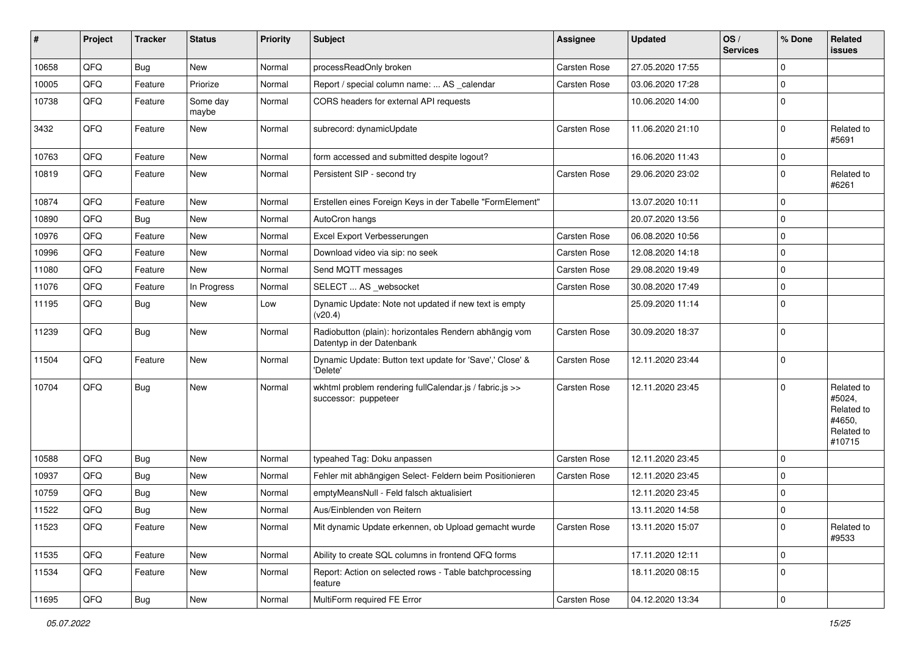| #     | Project | <b>Tracker</b> | <b>Status</b>     | <b>Priority</b> | Subject                                                                             | Assignee            | <b>Updated</b>   | OS/<br><b>Services</b> | % Done              | Related<br>issues                                                    |
|-------|---------|----------------|-------------------|-----------------|-------------------------------------------------------------------------------------|---------------------|------------------|------------------------|---------------------|----------------------------------------------------------------------|
| 10658 | QFQ     | <b>Bug</b>     | New               | Normal          | processReadOnly broken                                                              | Carsten Rose        | 27.05.2020 17:55 |                        | $\mathbf 0$         |                                                                      |
| 10005 | QFQ     | Feature        | Priorize          | Normal          | Report / special column name:  AS _calendar                                         | Carsten Rose        | 03.06.2020 17:28 |                        | $\mathbf 0$         |                                                                      |
| 10738 | QFQ     | Feature        | Some day<br>maybe | Normal          | CORS headers for external API requests                                              |                     | 10.06.2020 14:00 |                        | $\mathbf 0$         |                                                                      |
| 3432  | QFQ     | Feature        | New               | Normal          | subrecord: dynamicUpdate                                                            | Carsten Rose        | 11.06.2020 21:10 |                        | $\mathbf 0$         | Related to<br>#5691                                                  |
| 10763 | QFQ     | Feature        | New               | Normal          | form accessed and submitted despite logout?                                         |                     | 16.06.2020 11:43 |                        | 0                   |                                                                      |
| 10819 | QFQ     | Feature        | New               | Normal          | Persistent SIP - second try                                                         | Carsten Rose        | 29.06.2020 23:02 |                        | $\mathbf 0$         | Related to<br>#6261                                                  |
| 10874 | QFQ     | Feature        | New               | Normal          | Erstellen eines Foreign Keys in der Tabelle "FormElement"                           |                     | 13.07.2020 10:11 |                        | $\mathbf 0$         |                                                                      |
| 10890 | QFQ     | Bug            | New               | Normal          | AutoCron hangs                                                                      |                     | 20.07.2020 13:56 |                        | $\mathbf 0$         |                                                                      |
| 10976 | QFQ     | Feature        | New               | Normal          | Excel Export Verbesserungen                                                         | <b>Carsten Rose</b> | 06.08.2020 10:56 |                        | 0                   |                                                                      |
| 10996 | QFQ     | Feature        | New               | Normal          | Download video via sip: no seek                                                     | Carsten Rose        | 12.08.2020 14:18 |                        | $\mathbf 0$         |                                                                      |
| 11080 | QFQ     | Feature        | New               | Normal          | Send MQTT messages                                                                  | Carsten Rose        | 29.08.2020 19:49 |                        | $\mathbf 0$         |                                                                      |
| 11076 | QFQ     | Feature        | In Progress       | Normal          | SELECT  AS _websocket                                                               | Carsten Rose        | 30.08.2020 17:49 |                        | 0                   |                                                                      |
| 11195 | QFQ     | <b>Bug</b>     | New               | Low             | Dynamic Update: Note not updated if new text is empty<br>(v20.4)                    |                     | 25.09.2020 11:14 |                        | $\mathbf 0$         |                                                                      |
| 11239 | QFQ     | <b>Bug</b>     | New               | Normal          | Radiobutton (plain): horizontales Rendern abhängig vom<br>Datentyp in der Datenbank | Carsten Rose        | 30.09.2020 18:37 |                        | $\Omega$            |                                                                      |
| 11504 | QFQ     | Feature        | New               | Normal          | Dynamic Update: Button text update for 'Save',' Close' &<br>'Delete'                | <b>Carsten Rose</b> | 12.11.2020 23:44 |                        | $\mathbf 0$         |                                                                      |
| 10704 | QFQ     | <b>Bug</b>     | New               | Normal          | wkhtml problem rendering fullCalendar.js / fabric.js >><br>successor: puppeteer     | Carsten Rose        | 12.11.2020 23:45 |                        | $\mathbf 0$         | Related to<br>#5024,<br>Related to<br>#4650,<br>Related to<br>#10715 |
| 10588 | QFQ     | Bug            | <b>New</b>        | Normal          | typeahed Tag: Doku anpassen                                                         | <b>Carsten Rose</b> | 12.11.2020 23:45 |                        | $\mathbf 0$         |                                                                      |
| 10937 | QFQ     | <b>Bug</b>     | New               | Normal          | Fehler mit abhängigen Select- Feldern beim Positionieren                            | Carsten Rose        | 12.11.2020 23:45 |                        | $\mathbf 0$         |                                                                      |
| 10759 | QFQ     | <b>Bug</b>     | New               | Normal          | emptyMeansNull - Feld falsch aktualisiert                                           |                     | 12.11.2020 23:45 |                        | 0                   |                                                                      |
| 11522 | QFQ     | <b>Bug</b>     | New               | Normal          | Aus/Einblenden von Reitern                                                          |                     | 13.11.2020 14:58 |                        | $\mathbf 0$         |                                                                      |
| 11523 | QFQ     | Feature        | New               | Normal          | Mit dynamic Update erkennen, ob Upload gemacht wurde                                | Carsten Rose        | 13.11.2020 15:07 |                        | $\mathbf 0$         | Related to<br>#9533                                                  |
| 11535 | QFQ     | Feature        | New               | Normal          | Ability to create SQL columns in frontend QFQ forms                                 |                     | 17.11.2020 12:11 |                        | $\mathbf 0$         |                                                                      |
| 11534 | QFQ     | Feature        | New               | Normal          | Report: Action on selected rows - Table batchprocessing<br>feature                  |                     | 18.11.2020 08:15 |                        | 0                   |                                                                      |
| 11695 | QFQ     | Bug            | New               | Normal          | MultiForm required FE Error                                                         | Carsten Rose        | 04.12.2020 13:34 |                        | $\mathsf{O}\xspace$ |                                                                      |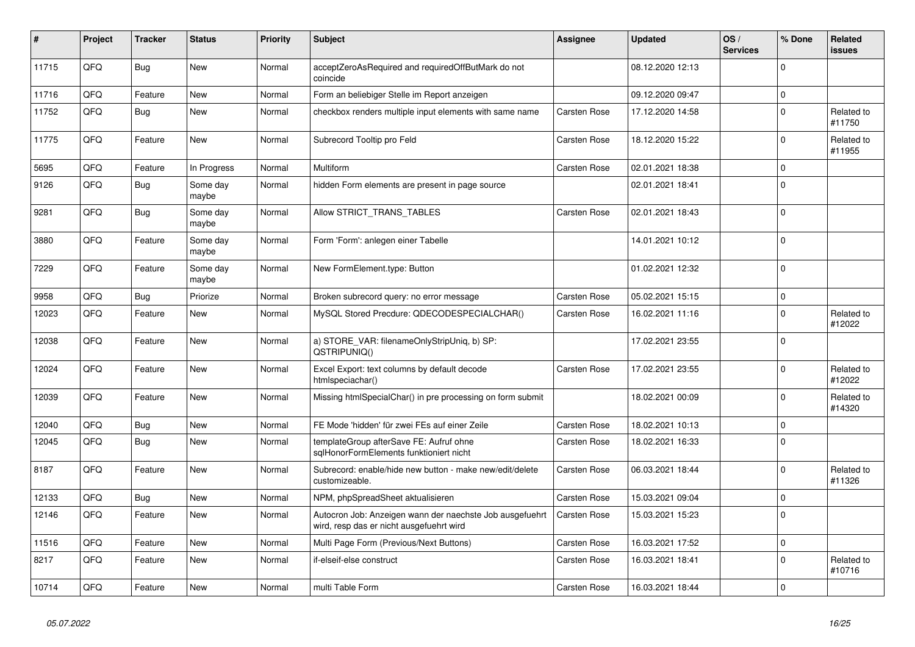| ∦     | Project | <b>Tracker</b> | <b>Status</b>     | <b>Priority</b> | <b>Subject</b>                                                                                       | <b>Assignee</b>     | <b>Updated</b>   | OS/<br><b>Services</b> | % Done   | Related<br><b>issues</b> |
|-------|---------|----------------|-------------------|-----------------|------------------------------------------------------------------------------------------------------|---------------------|------------------|------------------------|----------|--------------------------|
| 11715 | QFQ     | Bug            | New               | Normal          | acceptZeroAsRequired and requiredOffButMark do not<br>coincide                                       |                     | 08.12.2020 12:13 |                        | $\Omega$ |                          |
| 11716 | QFQ     | Feature        | New               | Normal          | Form an beliebiger Stelle im Report anzeigen                                                         |                     | 09.12.2020 09:47 |                        | $\Omega$ |                          |
| 11752 | QFQ     | <b>Bug</b>     | New               | Normal          | checkbox renders multiple input elements with same name                                              | Carsten Rose        | 17.12.2020 14:58 |                        | $\Omega$ | Related to<br>#11750     |
| 11775 | QFQ     | Feature        | <b>New</b>        | Normal          | Subrecord Tooltip pro Feld                                                                           | <b>Carsten Rose</b> | 18.12.2020 15:22 |                        | $\Omega$ | Related to<br>#11955     |
| 5695  | QFQ     | Feature        | In Progress       | Normal          | Multiform                                                                                            | Carsten Rose        | 02.01.2021 18:38 |                        | $\Omega$ |                          |
| 9126  | QFQ     | <b>Bug</b>     | Some day<br>maybe | Normal          | hidden Form elements are present in page source                                                      |                     | 02.01.2021 18:41 |                        | $\Omega$ |                          |
| 9281  | QFQ     | <b>Bug</b>     | Some day<br>maybe | Normal          | Allow STRICT_TRANS_TABLES                                                                            | Carsten Rose        | 02.01.2021 18:43 |                        | $\Omega$ |                          |
| 3880  | QFQ     | Feature        | Some day<br>maybe | Normal          | Form 'Form': anlegen einer Tabelle                                                                   |                     | 14.01.2021 10:12 |                        | $\Omega$ |                          |
| 7229  | QFQ     | Feature        | Some day<br>maybe | Normal          | New FormElement.type: Button                                                                         |                     | 01.02.2021 12:32 |                        | $\Omega$ |                          |
| 9958  | QFQ     | <b>Bug</b>     | Priorize          | Normal          | Broken subrecord query: no error message                                                             | Carsten Rose        | 05.02.2021 15:15 |                        | $\Omega$ |                          |
| 12023 | QFQ     | Feature        | New               | Normal          | MySQL Stored Precdure: QDECODESPECIALCHAR()                                                          | <b>Carsten Rose</b> | 16.02.2021 11:16 |                        | $\Omega$ | Related to<br>#12022     |
| 12038 | QFQ     | Feature        | New               | Normal          | a) STORE_VAR: filenameOnlyStripUniq, b) SP:<br>QSTRIPUNIQ()                                          |                     | 17.02.2021 23:55 |                        | $\Omega$ |                          |
| 12024 | QFQ     | Feature        | New               | Normal          | Excel Export: text columns by default decode<br>htmlspeciachar()                                     | Carsten Rose        | 17.02.2021 23:55 |                        | $\Omega$ | Related to<br>#12022     |
| 12039 | QFQ     | Feature        | New               | Normal          | Missing htmlSpecialChar() in pre processing on form submit                                           |                     | 18.02.2021 00:09 |                        | $\Omega$ | Related to<br>#14320     |
| 12040 | QFQ     | <b>Bug</b>     | <b>New</b>        | Normal          | FE Mode 'hidden' für zwei FEs auf einer Zeile                                                        | Carsten Rose        | 18.02.2021 10:13 |                        | $\Omega$ |                          |
| 12045 | QFQ     | Bug            | New               | Normal          | templateGroup afterSave FE: Aufruf ohne<br>sglHonorFormElements funktioniert nicht                   | <b>Carsten Rose</b> | 18.02.2021 16:33 |                        | $\Omega$ |                          |
| 8187  | QFQ     | Feature        | <b>New</b>        | Normal          | Subrecord: enable/hide new button - make new/edit/delete<br>customizeable.                           | Carsten Rose        | 06.03.2021 18:44 |                        | $\Omega$ | Related to<br>#11326     |
| 12133 | QFQ     | <b>Bug</b>     | <b>New</b>        | Normal          | NPM, phpSpreadSheet aktualisieren                                                                    | Carsten Rose        | 15.03.2021 09:04 |                        | $\Omega$ |                          |
| 12146 | QFQ     | Feature        | New               | Normal          | Autocron Job: Anzeigen wann der naechste Job ausgefuehrt<br>wird, resp das er nicht ausgefuehrt wird | Carsten Rose        | 15.03.2021 15:23 |                        | 0 I      |                          |
| 11516 | QFQ     | Feature        | <b>New</b>        | Normal          | Multi Page Form (Previous/Next Buttons)                                                              | Carsten Rose        | 16.03.2021 17:52 |                        | $\Omega$ |                          |
| 8217  | QFQ     | Feature        | New               | Normal          | if-elseif-else construct                                                                             | Carsten Rose        | 16.03.2021 18:41 |                        | $\Omega$ | Related to<br>#10716     |
| 10714 | QFQ     | Feature        | New               | Normal          | multi Table Form                                                                                     | Carsten Rose        | 16.03.2021 18:44 |                        | $\Omega$ |                          |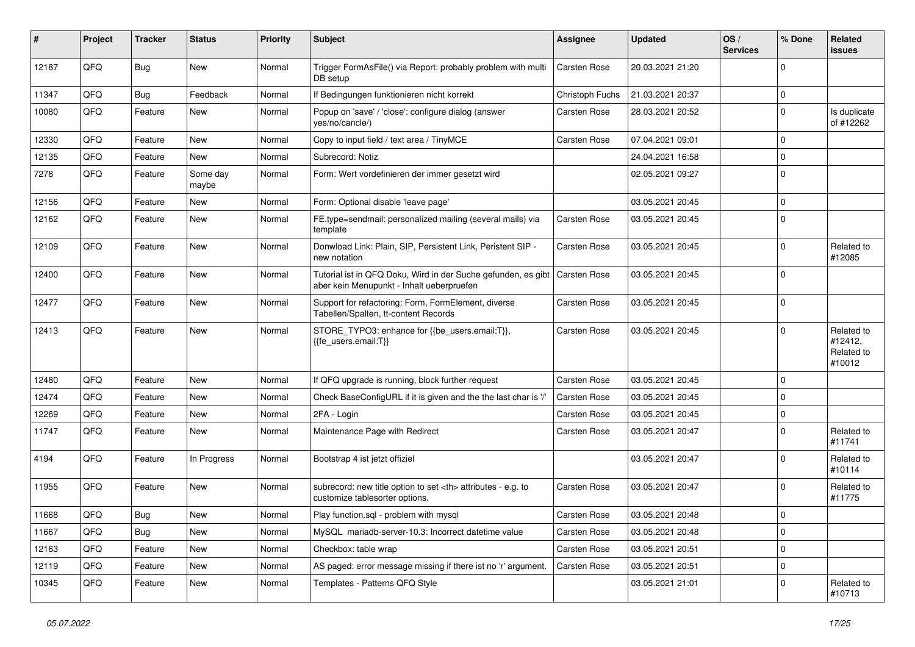| #     | Project | <b>Tracker</b> | <b>Status</b>     | <b>Priority</b> | <b>Subject</b>                                                                                             | <b>Assignee</b>                                        | <b>Updated</b>   | OS/<br><b>Services</b> | % Done      | Related<br>issues                             |                      |
|-------|---------|----------------|-------------------|-----------------|------------------------------------------------------------------------------------------------------------|--------------------------------------------------------|------------------|------------------------|-------------|-----------------------------------------------|----------------------|
| 12187 | QFQ     | Bug            | New               | Normal          | Trigger FormAsFile() via Report: probably problem with multi<br>DB setup                                   | <b>Carsten Rose</b>                                    | 20.03.2021 21:20 |                        | $\mathbf 0$ |                                               |                      |
| 11347 | QFQ     | Bug            | Feedback          | Normal          | If Bedingungen funktionieren nicht korrekt                                                                 | Christoph Fuchs                                        | 21.03.2021 20:37 |                        | 0           |                                               |                      |
| 10080 | QFQ     | Feature        | New               | Normal          | Popup on 'save' / 'close': configure dialog (answer<br>yes/no/cancle/)                                     | Carsten Rose                                           | 28.03.2021 20:52 |                        | 0           | Is duplicate<br>of #12262                     |                      |
| 12330 | QFQ     | Feature        | New               | Normal          | Copy to input field / text area / TinyMCE                                                                  | Carsten Rose                                           | 07.04.2021 09:01 |                        | $\mathbf 0$ |                                               |                      |
| 12135 | QFQ     | Feature        | New               | Normal          | Subrecord: Notiz                                                                                           |                                                        | 24.04.2021 16:58 |                        | 0           |                                               |                      |
| 7278  | QFQ     | Feature        | Some day<br>maybe | Normal          | Form: Wert vordefinieren der immer gesetzt wird                                                            |                                                        | 02.05.2021 09:27 |                        | 0           |                                               |                      |
| 12156 | QFQ     | Feature        | New               | Normal          | Form: Optional disable 'leave page'                                                                        |                                                        | 03.05.2021 20:45 |                        | $\mathbf 0$ |                                               |                      |
| 12162 | QFQ     | Feature        | New               | Normal          | FE.type=sendmail: personalized mailing (several mails) via<br>template                                     | Carsten Rose                                           | 03.05.2021 20:45 |                        | $\mathbf 0$ |                                               |                      |
| 12109 | QFQ     | Feature        | New               | Normal          | Donwload Link: Plain, SIP, Persistent Link, Peristent SIP -<br>new notation                                | Carsten Rose                                           | 03.05.2021 20:45 |                        | 0           | Related to<br>#12085                          |                      |
| 12400 | QFQ     | Feature        | New               | Normal          | Tutorial ist in QFQ Doku, Wird in der Suche gefunden, es gibt<br>aber kein Menupunkt - Inhalt ueberpruefen | <b>Carsten Rose</b>                                    | 03.05.2021 20:45 |                        | 0           |                                               |                      |
| 12477 | QFQ     | Feature        | New               | Normal          | Support for refactoring: Form, FormElement, diverse<br>Tabellen/Spalten, tt-content Records                | Carsten Rose                                           | 03.05.2021 20:45 |                        | $\mathbf 0$ |                                               |                      |
| 12413 | QFQ     | Feature        | New               | Normal          | STORE_TYPO3: enhance for {{be_users.email:T}},<br>{{fe_users.email:T}}                                     | Carsten Rose                                           | 03.05.2021 20:45 |                        | 0           | Related to<br>#12412,<br>Related to<br>#10012 |                      |
| 12480 | QFQ     | Feature        | New               | Normal          | If QFQ upgrade is running, block further request                                                           | Carsten Rose                                           | 03.05.2021 20:45 |                        | 0           |                                               |                      |
| 12474 | QFQ     | Feature        | New               | Normal          | Check BaseConfigURL if it is given and the the last char is '/'                                            | <b>Carsten Rose</b>                                    | 03.05.2021 20:45 |                        | $\mathbf 0$ |                                               |                      |
| 12269 | QFQ     | Feature        | New               | Normal          | 2FA - Login                                                                                                | Carsten Rose                                           | 03.05.2021 20:45 |                        | 0           |                                               |                      |
| 11747 | QFQ     | Feature        | New               | Normal          | Maintenance Page with Redirect                                                                             | Carsten Rose                                           | 03.05.2021 20:47 |                        | 0           | Related to<br>#11741                          |                      |
| 4194  | QFQ     | Feature        | In Progress       | Normal          | Bootstrap 4 ist jetzt offiziel                                                                             |                                                        | 03.05.2021 20:47 |                        | $\mathbf 0$ | Related to<br>#10114                          |                      |
| 11955 | QFQ     | Feature        | New               | Normal          | subrecord: new title option to set <th> attributes - e.g. to<br/>customize tablesorter options.</th>       | attributes - e.g. to<br>customize tablesorter options. | Carsten Rose     | 03.05.2021 20:47       |             | 0                                             | Related to<br>#11775 |
| 11668 | QFQ     | Bug            | New               | Normal          | Play function.sql - problem with mysql                                                                     | <b>Carsten Rose</b>                                    | 03.05.2021 20:48 |                        | 0           |                                               |                      |
| 11667 | QFQ     | <b>Bug</b>     | New               | Normal          | MySQL mariadb-server-10.3: Incorrect datetime value                                                        | Carsten Rose                                           | 03.05.2021 20:48 |                        | 0           |                                               |                      |
| 12163 | QFQ     | Feature        | New               | Normal          | Checkbox: table wrap                                                                                       | Carsten Rose                                           | 03.05.2021 20:51 |                        | 0           |                                               |                      |
| 12119 | QFQ     | Feature        | New               | Normal          | AS paged: error message missing if there ist no 'r' argument.                                              | Carsten Rose                                           | 03.05.2021 20:51 |                        | 0           |                                               |                      |
| 10345 | QFQ     | Feature        | New               | Normal          | Templates - Patterns QFQ Style                                                                             |                                                        | 03.05.2021 21:01 |                        | 0           | Related to<br>#10713                          |                      |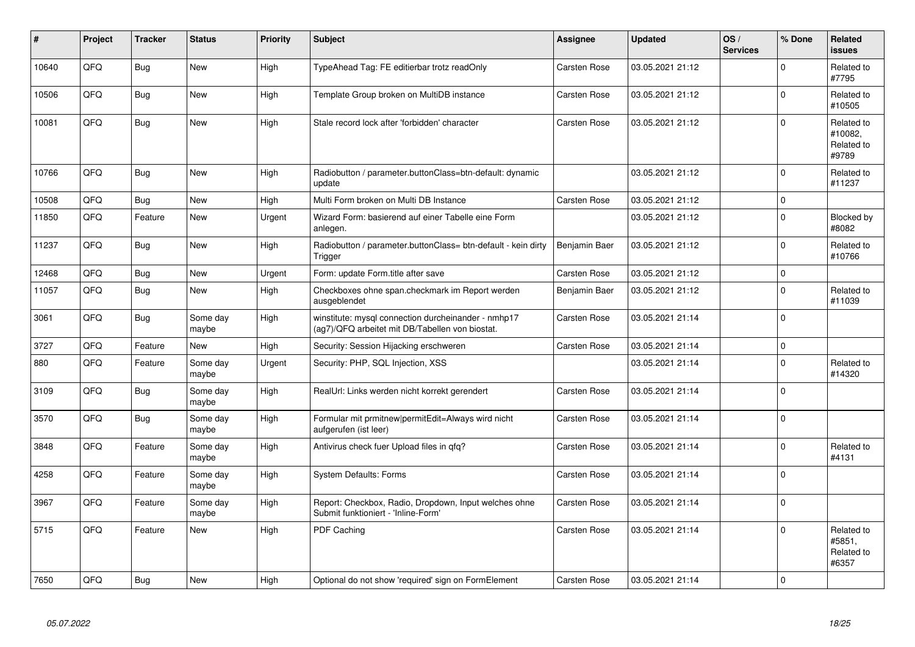| #     | Project | <b>Tracker</b> | <b>Status</b>     | <b>Priority</b> | <b>Subject</b>                                                                                         | <b>Assignee</b>     | <b>Updated</b>   | OS/<br><b>Services</b> | % Done         | Related<br><b>issues</b>                     |
|-------|---------|----------------|-------------------|-----------------|--------------------------------------------------------------------------------------------------------|---------------------|------------------|------------------------|----------------|----------------------------------------------|
| 10640 | QFQ     | <b>Bug</b>     | <b>New</b>        | High            | TypeAhead Tag: FE editierbar trotz readOnly                                                            | Carsten Rose        | 03.05.2021 21:12 |                        | $\Omega$       | Related to<br>#7795                          |
| 10506 | QFQ     | <b>Bug</b>     | <b>New</b>        | High            | Template Group broken on MultiDB instance                                                              | Carsten Rose        | 03.05.2021 21:12 |                        | $\Omega$       | Related to<br>#10505                         |
| 10081 | QFQ     | Bug            | New               | High            | Stale record lock after 'forbidden' character                                                          | Carsten Rose        | 03.05.2021 21:12 |                        | $\Omega$       | Related to<br>#10082.<br>Related to<br>#9789 |
| 10766 | QFQ     | Bug            | New               | High            | Radiobutton / parameter.buttonClass=btn-default: dynamic<br>update                                     |                     | 03.05.2021 21:12 |                        | $\Omega$       | Related to<br>#11237                         |
| 10508 | QFQ     | Bug            | New               | High            | Multi Form broken on Multi DB Instance                                                                 | <b>Carsten Rose</b> | 03.05.2021 21:12 |                        | $\Omega$       |                                              |
| 11850 | QFQ     | Feature        | <b>New</b>        | Urgent          | Wizard Form: basierend auf einer Tabelle eine Form<br>anlegen.                                         |                     | 03.05.2021 21:12 |                        | $\Omega$       | Blocked by<br>#8082                          |
| 11237 | QFQ     | Bug            | New               | High            | Radiobutton / parameter.buttonClass= btn-default - kein dirty<br>Trigger                               | Benjamin Baer       | 03.05.2021 21:12 |                        | $\Omega$       | Related to<br>#10766                         |
| 12468 | QFQ     | <b>Bug</b>     | New               | Urgent          | Form: update Form.title after save                                                                     | Carsten Rose        | 03.05.2021 21:12 |                        | $\mathbf 0$    |                                              |
| 11057 | QFQ     | Bug            | New               | High            | Checkboxes ohne span.checkmark im Report werden<br>ausgeblendet                                        | Benjamin Baer       | 03.05.2021 21:12 |                        | $\Omega$       | Related to<br>#11039                         |
| 3061  | QFQ     | <b>Bug</b>     | Some day<br>maybe | High            | winstitute: mysql connection durcheinander - nmhp17<br>(ag7)/QFQ arbeitet mit DB/Tabellen von biostat. | Carsten Rose        | 03.05.2021 21:14 |                        | $\mathbf 0$    |                                              |
| 3727  | QFQ     | Feature        | New               | High            | Security: Session Hijacking erschweren                                                                 | Carsten Rose        | 03.05.2021 21:14 |                        | $\Omega$       |                                              |
| 880   | QFQ     | Feature        | Some day<br>maybe | Urgent          | Security: PHP, SQL Injection, XSS                                                                      |                     | 03.05.2021 21:14 |                        | $\Omega$       | Related to<br>#14320                         |
| 3109  | QFQ     | <b>Bug</b>     | Some day<br>maybe | High            | RealUrl: Links werden nicht korrekt gerendert                                                          | Carsten Rose        | 03.05.2021 21:14 |                        | $\Omega$       |                                              |
| 3570  | QFQ     | Bug            | Some day<br>maybe | High            | Formular mit prmitnew permitEdit=Always wird nicht<br>aufgerufen (ist leer)                            | Carsten Rose        | 03.05.2021 21:14 |                        | $\Omega$       |                                              |
| 3848  | QFQ     | Feature        | Some day<br>maybe | High            | Antivirus check fuer Upload files in qfq?                                                              | Carsten Rose        | 03.05.2021 21:14 |                        | $\Omega$       | Related to<br>#4131                          |
| 4258  | QFQ     | Feature        | Some day<br>maybe | High            | <b>System Defaults: Forms</b>                                                                          | Carsten Rose        | 03.05.2021 21:14 |                        | $\Omega$       |                                              |
| 3967  | QFQ     | Feature        | Some day<br>maybe | High            | Report: Checkbox, Radio, Dropdown, Input welches ohne<br>Submit funktioniert - 'Inline-Form'           | Carsten Rose        | 03.05.2021 21:14 |                        | $\Omega$       |                                              |
| 5715  | QFQ     | Feature        | New               | High            | PDF Caching                                                                                            | Carsten Rose        | 03.05.2021 21:14 |                        | $\Omega$       | Related to<br>#5851,<br>Related to<br>#6357  |
| 7650  | QFQ     | Bug            | New               | High            | Optional do not show 'required' sign on FormElement                                                    | Carsten Rose        | 03.05.2021 21:14 |                        | $\overline{0}$ |                                              |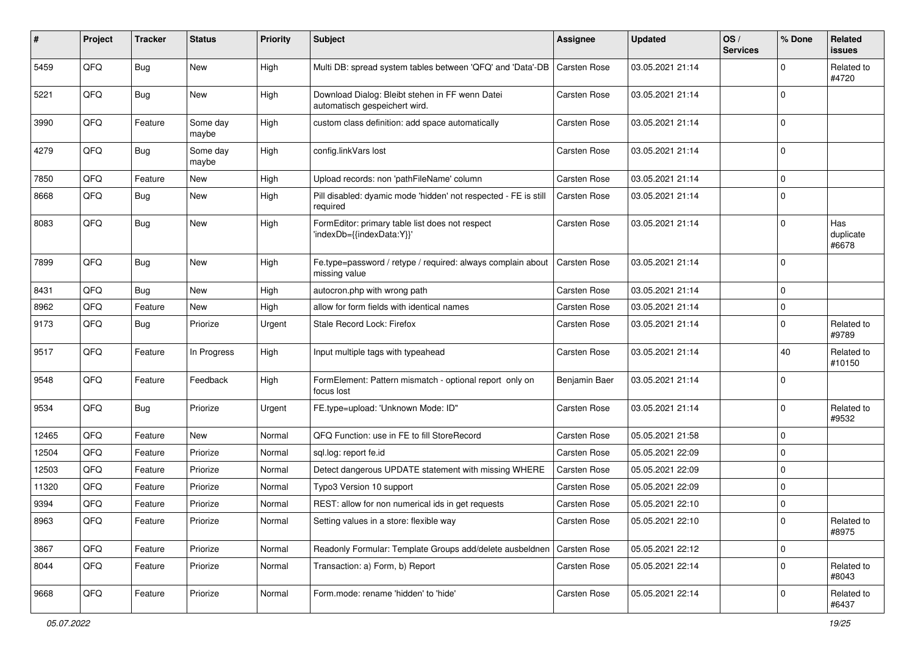| ∦     | Project | <b>Tracker</b> | <b>Status</b>     | <b>Priority</b> | <b>Subject</b>                                                                   | <b>Assignee</b>     | <b>Updated</b>   | OS/<br><b>Services</b> | % Done      | Related<br>issues         |
|-------|---------|----------------|-------------------|-----------------|----------------------------------------------------------------------------------|---------------------|------------------|------------------------|-------------|---------------------------|
| 5459  | QFQ     | <b>Bug</b>     | New               | High            | Multi DB: spread system tables between 'QFQ' and 'Data'-DB                       | <b>Carsten Rose</b> | 03.05.2021 21:14 |                        | $\Omega$    | Related to<br>#4720       |
| 5221  | QFQ     | <b>Bug</b>     | New               | High            | Download Dialog: Bleibt stehen in FF wenn Datei<br>automatisch gespeichert wird. | Carsten Rose        | 03.05.2021 21:14 |                        | $\Omega$    |                           |
| 3990  | QFQ     | Feature        | Some day<br>maybe | High            | custom class definition: add space automatically                                 | Carsten Rose        | 03.05.2021 21:14 |                        | $\Omega$    |                           |
| 4279  | QFQ     | <b>Bug</b>     | Some day<br>maybe | High            | config.linkVars lost                                                             | Carsten Rose        | 03.05.2021 21:14 |                        | $\Omega$    |                           |
| 7850  | QFQ     | Feature        | <b>New</b>        | High            | Upload records: non 'pathFileName' column                                        | Carsten Rose        | 03.05.2021 21:14 |                        | $\mathbf 0$ |                           |
| 8668  | QFQ     | Bug            | New               | High            | Pill disabled: dyamic mode 'hidden' not respected - FE is still<br>required      | <b>Carsten Rose</b> | 03.05.2021 21:14 |                        | 0           |                           |
| 8083  | QFQ     | <b>Bug</b>     | New               | High            | FormEditor: primary table list does not respect<br>'indexDb={{indexData:Y}}'     | Carsten Rose        | 03.05.2021 21:14 |                        | $\mathbf 0$ | Has<br>duplicate<br>#6678 |
| 7899  | QFQ     | <b>Bug</b>     | New               | High            | Fe.type=password / retype / required: always complain about<br>missing value     | <b>Carsten Rose</b> | 03.05.2021 21:14 |                        | $\mathbf 0$ |                           |
| 8431  | QFQ     | <b>Bug</b>     | New               | High            | autocron.php with wrong path                                                     | Carsten Rose        | 03.05.2021 21:14 |                        | 0           |                           |
| 8962  | QFQ     | Feature        | New               | High            | allow for form fields with identical names                                       | Carsten Rose        | 03.05.2021 21:14 |                        | $\mathbf 0$ |                           |
| 9173  | QFQ     | Bug            | Priorize          | Urgent          | Stale Record Lock: Firefox                                                       | Carsten Rose        | 03.05.2021 21:14 |                        | $\Omega$    | Related to<br>#9789       |
| 9517  | QFQ     | Feature        | In Progress       | High            | Input multiple tags with typeahead                                               | Carsten Rose        | 03.05.2021 21:14 |                        | 40          | Related to<br>#10150      |
| 9548  | QFQ     | Feature        | Feedback          | High            | FormElement: Pattern mismatch - optional report only on<br>focus lost            | Benjamin Baer       | 03.05.2021 21:14 |                        | $\mathbf 0$ |                           |
| 9534  | QFQ     | <b>Bug</b>     | Priorize          | Urgent          | FE.type=upload: 'Unknown Mode: ID"                                               | Carsten Rose        | 03.05.2021 21:14 |                        | $\Omega$    | Related to<br>#9532       |
| 12465 | QFQ     | Feature        | New               | Normal          | QFQ Function: use in FE to fill StoreRecord                                      | Carsten Rose        | 05.05.2021 21:58 |                        | $\mathbf 0$ |                           |
| 12504 | QFQ     | Feature        | Priorize          | Normal          | sgl.log: report fe.id                                                            | Carsten Rose        | 05.05.2021 22:09 |                        | $\mathbf 0$ |                           |
| 12503 | QFQ     | Feature        | Priorize          | Normal          | Detect dangerous UPDATE statement with missing WHERE                             | Carsten Rose        | 05.05.2021 22:09 |                        | $\mathbf 0$ |                           |
| 11320 | QFQ     | Feature        | Priorize          | Normal          | Typo3 Version 10 support                                                         | Carsten Rose        | 05.05.2021 22:09 |                        | $\Omega$    |                           |
| 9394  | QFQ     | Feature        | Priorize          | Normal          | REST: allow for non numerical ids in get requests                                | Carsten Rose        | 05.05.2021 22:10 |                        | $\Omega$    |                           |
| 8963  | QFQ     | Feature        | Priorize          | Normal          | Setting values in a store: flexible way                                          | Carsten Rose        | 05.05.2021 22:10 |                        | 0           | Related to<br>#8975       |
| 3867  | QFQ     | Feature        | Priorize          | Normal          | Readonly Formular: Template Groups add/delete ausbeldnen                         | Carsten Rose        | 05.05.2021 22:12 |                        | $\mathbf 0$ |                           |
| 8044  | QFQ     | Feature        | Priorize          | Normal          | Transaction: a) Form, b) Report                                                  | Carsten Rose        | 05.05.2021 22:14 |                        | $\Omega$    | Related to<br>#8043       |
| 9668  | QFG     | Feature        | Priorize          | Normal          | Form.mode: rename 'hidden' to 'hide'                                             | Carsten Rose        | 05.05.2021 22:14 |                        | 0           | Related to<br>#6437       |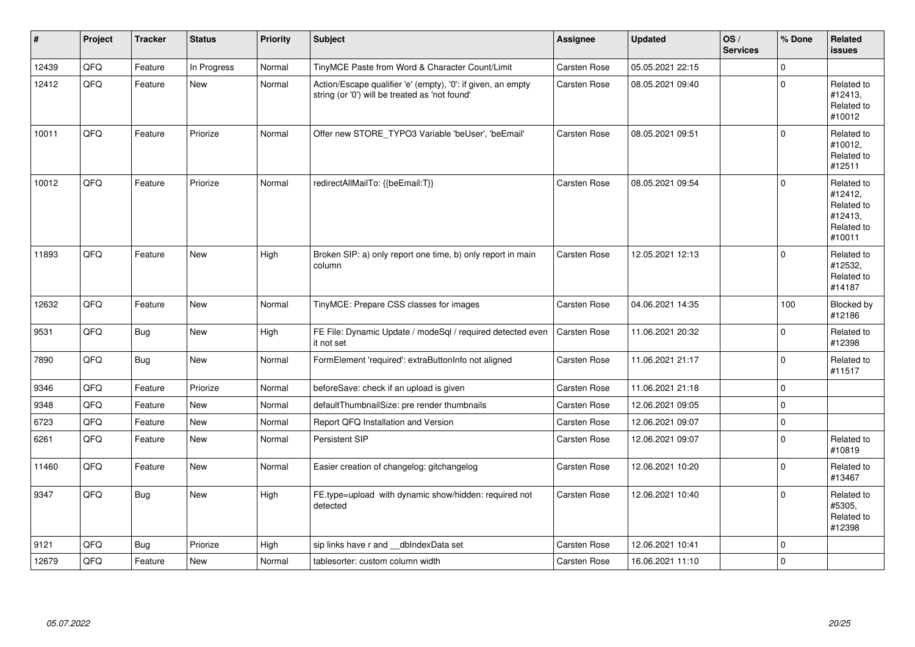| $\vert$ # | Project | <b>Tracker</b> | <b>Status</b> | <b>Priority</b> | Subject                                                                                                        | <b>Assignee</b>     | <b>Updated</b>   | OS/<br><b>Services</b> | % Done       | Related<br><b>issues</b>                                               |
|-----------|---------|----------------|---------------|-----------------|----------------------------------------------------------------------------------------------------------------|---------------------|------------------|------------------------|--------------|------------------------------------------------------------------------|
| 12439     | QFQ     | Feature        | In Progress   | Normal          | TinyMCE Paste from Word & Character Count/Limit                                                                | Carsten Rose        | 05.05.2021 22:15 |                        | $\mathbf{0}$ |                                                                        |
| 12412     | QFQ     | Feature        | New           | Normal          | Action/Escape qualifier 'e' (empty), '0': if given, an empty<br>string (or '0') will be treated as 'not found' | <b>Carsten Rose</b> | 08.05.2021 09:40 |                        | $\Omega$     | Related to<br>#12413,<br>Related to<br>#10012                          |
| 10011     | QFQ     | Feature        | Priorize      | Normal          | Offer new STORE TYPO3 Variable 'beUser', 'beEmail'                                                             | Carsten Rose        | 08.05.2021 09:51 |                        | $\Omega$     | Related to<br>#10012,<br>Related to<br>#12511                          |
| 10012     | QFQ     | Feature        | Priorize      | Normal          | redirectAllMailTo: {{beEmail:T}}                                                                               | Carsten Rose        | 08.05.2021 09:54 |                        | $\Omega$     | Related to<br>#12412,<br>Related to<br>#12413,<br>Related to<br>#10011 |
| 11893     | QFQ     | Feature        | New           | High            | Broken SIP: a) only report one time, b) only report in main<br>column                                          | Carsten Rose        | 12.05.2021 12:13 |                        | $\Omega$     | Related to<br>#12532.<br>Related to<br>#14187                          |
| 12632     | QFQ     | Feature        | New           | Normal          | TinyMCE: Prepare CSS classes for images                                                                        | <b>Carsten Rose</b> | 04.06.2021 14:35 |                        | 100          | Blocked by<br>#12186                                                   |
| 9531      | QFQ     | Bug            | New           | High            | FE File: Dynamic Update / modeSql / required detected even<br>it not set                                       | <b>Carsten Rose</b> | 11.06.2021 20:32 |                        | $\Omega$     | Related to<br>#12398                                                   |
| 7890      | QFQ     | <b>Bug</b>     | New           | Normal          | FormElement 'required': extraButtonInfo not aligned                                                            | Carsten Rose        | 11.06.2021 21:17 |                        | $\mathbf 0$  | Related to<br>#11517                                                   |
| 9346      | QFQ     | Feature        | Priorize      | Normal          | beforeSave: check if an upload is given                                                                        | <b>Carsten Rose</b> | 11.06.2021 21:18 |                        | $\mathbf 0$  |                                                                        |
| 9348      | QFQ     | Feature        | <b>New</b>    | Normal          | defaultThumbnailSize: pre render thumbnails                                                                    | <b>Carsten Rose</b> | 12.06.2021 09:05 |                        | $\mathbf 0$  |                                                                        |
| 6723      | QFQ     | Feature        | New           | Normal          | Report QFQ Installation and Version                                                                            | Carsten Rose        | 12.06.2021 09:07 |                        | $\mathbf 0$  |                                                                        |
| 6261      | QFQ     | Feature        | <b>New</b>    | Normal          | Persistent SIP                                                                                                 | Carsten Rose        | 12.06.2021 09:07 |                        | $\Omega$     | Related to<br>#10819                                                   |
| 11460     | QFQ     | Feature        | New           | Normal          | Easier creation of changelog: gitchangelog                                                                     | <b>Carsten Rose</b> | 12.06.2021 10:20 |                        | $\mathbf 0$  | Related to<br>#13467                                                   |
| 9347      | QFQ     | <b>Bug</b>     | New           | High            | FE.type=upload with dynamic show/hidden: required not<br>detected                                              | Carsten Rose        | 12.06.2021 10:40 |                        | $\mathbf 0$  | Related to<br>#5305,<br>Related to<br>#12398                           |
| 9121      | QFQ     | <b>Bug</b>     | Priorize      | High            | sip links have r and dblndexData set                                                                           | Carsten Rose        | 12.06.2021 10:41 |                        | $\mathbf 0$  |                                                                        |
| 12679     | QFQ     | Feature        | New           | Normal          | tablesorter: custom column width                                                                               | <b>Carsten Rose</b> | 16.06.2021 11:10 |                        | $\mathbf 0$  |                                                                        |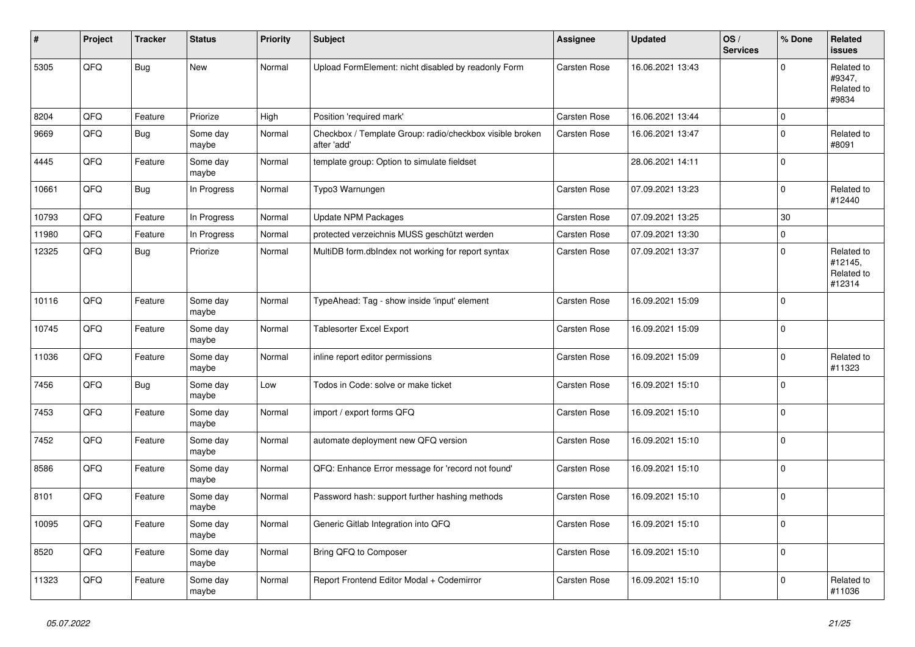| ∦     | Project | <b>Tracker</b> | <b>Status</b>     | <b>Priority</b> | <b>Subject</b>                                                          | <b>Assignee</b>     | <b>Updated</b>   | OS/<br><b>Services</b> | % Done      | Related<br>issues                             |
|-------|---------|----------------|-------------------|-----------------|-------------------------------------------------------------------------|---------------------|------------------|------------------------|-------------|-----------------------------------------------|
| 5305  | QFQ     | <b>Bug</b>     | <b>New</b>        | Normal          | Upload FormElement: nicht disabled by readonly Form                     | Carsten Rose        | 16.06.2021 13:43 |                        | $\Omega$    | Related to<br>#9347,<br>Related to<br>#9834   |
| 8204  | QFQ     | Feature        | Priorize          | High            | Position 'required mark'                                                | <b>Carsten Rose</b> | 16.06.2021 13:44 |                        | 0 I         |                                               |
| 9669  | QFQ     | Bug            | Some day<br>maybe | Normal          | Checkbox / Template Group: radio/checkbox visible broken<br>after 'add' | Carsten Rose        | 16.06.2021 13:47 |                        | $\Omega$    | Related to<br>#8091                           |
| 4445  | QFQ     | Feature        | Some day<br>maybe | Normal          | template group: Option to simulate fieldset                             |                     | 28.06.2021 14:11 |                        | 0           |                                               |
| 10661 | QFQ     | <b>Bug</b>     | In Progress       | Normal          | Typo3 Warnungen                                                         | Carsten Rose        | 07.09.2021 13:23 |                        | $\Omega$    | Related to<br>#12440                          |
| 10793 | QFQ     | Feature        | In Progress       | Normal          | <b>Update NPM Packages</b>                                              | <b>Carsten Rose</b> | 07.09.2021 13:25 |                        | 30          |                                               |
| 11980 | QFQ     | Feature        | In Progress       | Normal          | protected verzeichnis MUSS geschützt werden                             | Carsten Rose        | 07.09.2021 13:30 |                        | $\Omega$    |                                               |
| 12325 | QFQ     | Bug            | Priorize          | Normal          | MultiDB form.dblndex not working for report syntax                      | Carsten Rose        | 07.09.2021 13:37 |                        | $\Omega$    | Related to<br>#12145,<br>Related to<br>#12314 |
| 10116 | QFQ     | Feature        | Some day<br>maybe | Normal          | TypeAhead: Tag - show inside 'input' element                            | Carsten Rose        | 16.09.2021 15:09 |                        | $\Omega$    |                                               |
| 10745 | QFQ     | Feature        | Some day<br>maybe | Normal          | <b>Tablesorter Excel Export</b>                                         | Carsten Rose        | 16.09.2021 15:09 |                        | 0           |                                               |
| 11036 | QFQ     | Feature        | Some day<br>maybe | Normal          | inline report editor permissions                                        | Carsten Rose        | 16.09.2021 15:09 |                        | $\Omega$    | Related to<br>#11323                          |
| 7456  | QFQ     | <b>Bug</b>     | Some day<br>maybe | Low             | Todos in Code: solve or make ticket                                     | Carsten Rose        | 16.09.2021 15:10 |                        | $\Omega$    |                                               |
| 7453  | QFQ     | Feature        | Some day<br>maybe | Normal          | import / export forms QFQ                                               | <b>Carsten Rose</b> | 16.09.2021 15:10 |                        | $\Omega$    |                                               |
| 7452  | QFQ     | Feature        | Some day<br>maybe | Normal          | automate deployment new QFQ version                                     | Carsten Rose        | 16.09.2021 15:10 |                        | $\mathbf 0$ |                                               |
| 8586  | QFQ     | Feature        | Some day<br>maybe | Normal          | QFQ: Enhance Error message for 'record not found'                       | Carsten Rose        | 16.09.2021 15:10 |                        | 0 I         |                                               |
| 8101  | QFQ     | Feature        | Some day<br>maybe | Normal          | Password hash: support further hashing methods                          | Carsten Rose        | 16.09.2021 15:10 |                        | $\Omega$    |                                               |
| 10095 | QFQ     | Feature        | Some day<br>maybe | Normal          | Generic Gitlab Integration into QFQ                                     | Carsten Rose        | 16.09.2021 15:10 |                        | $\Omega$    |                                               |
| 8520  | QFQ     | Feature        | Some day<br>maybe | Normal          | Bring QFQ to Composer                                                   | Carsten Rose        | 16.09.2021 15:10 |                        | $\Omega$    |                                               |
| 11323 | QFQ     | Feature        | Some day<br>maybe | Normal          | Report Frontend Editor Modal + Codemirror                               | <b>Carsten Rose</b> | 16.09.2021 15:10 |                        | $\Omega$    | Related to<br>#11036                          |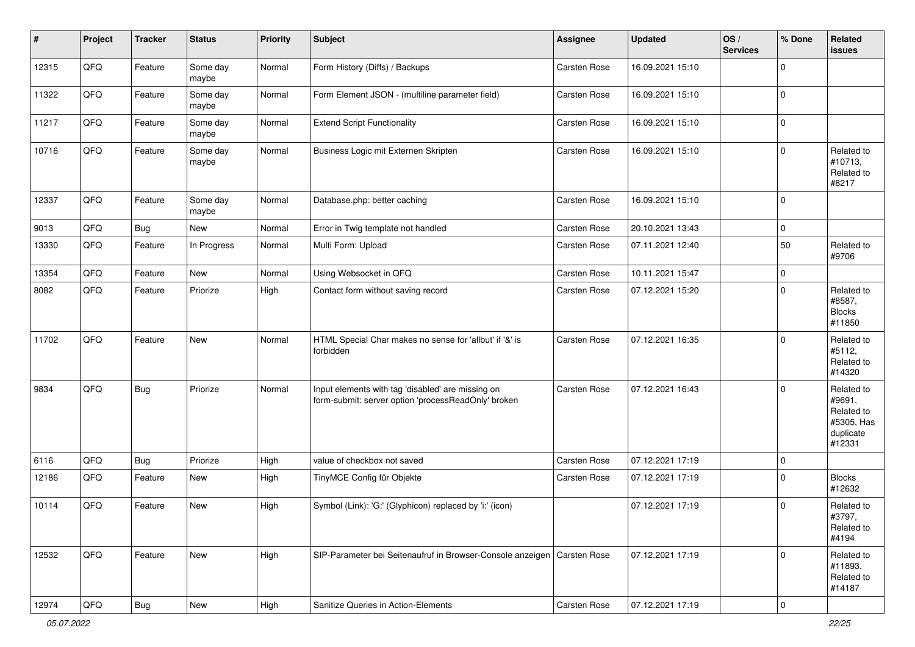| $\vert$ # | Project        | <b>Tracker</b> | <b>Status</b>     | <b>Priority</b> | <b>Subject</b>                                                                                           | <b>Assignee</b>     | <b>Updated</b>   | OS/<br><b>Services</b> | % Done      | Related<br><b>issues</b>                                                |
|-----------|----------------|----------------|-------------------|-----------------|----------------------------------------------------------------------------------------------------------|---------------------|------------------|------------------------|-------------|-------------------------------------------------------------------------|
| 12315     | QFQ            | Feature        | Some day<br>maybe | Normal          | Form History (Diffs) / Backups                                                                           | Carsten Rose        | 16.09.2021 15:10 |                        | $\mathbf 0$ |                                                                         |
| 11322     | QFQ            | Feature        | Some day<br>maybe | Normal          | Form Element JSON - (multiline parameter field)                                                          | Carsten Rose        | 16.09.2021 15:10 |                        | $\mathbf 0$ |                                                                         |
| 11217     | QFQ            | Feature        | Some day<br>maybe | Normal          | <b>Extend Script Functionality</b>                                                                       | Carsten Rose        | 16.09.2021 15:10 |                        | $\mathbf 0$ |                                                                         |
| 10716     | QFQ            | Feature        | Some day<br>maybe | Normal          | Business Logic mit Externen Skripten                                                                     | <b>Carsten Rose</b> | 16.09.2021 15:10 |                        | $\Omega$    | Related to<br>#10713,<br>Related to<br>#8217                            |
| 12337     | QFQ            | Feature        | Some day<br>maybe | Normal          | Database.php: better caching                                                                             | <b>Carsten Rose</b> | 16.09.2021 15:10 |                        | $\mathbf 0$ |                                                                         |
| 9013      | QFQ            | <b>Bug</b>     | New               | Normal          | Error in Twig template not handled                                                                       | <b>Carsten Rose</b> | 20.10.2021 13:43 |                        | $\mathbf 0$ |                                                                         |
| 13330     | QFQ            | Feature        | In Progress       | Normal          | Multi Form: Upload                                                                                       | Carsten Rose        | 07.11.2021 12:40 |                        | 50          | Related to<br>#9706                                                     |
| 13354     | QFQ            | Feature        | New               | Normal          | Using Websocket in QFQ                                                                                   | <b>Carsten Rose</b> | 10.11.2021 15:47 |                        | $\mathbf 0$ |                                                                         |
| 8082      | QFQ            | Feature        | Priorize          | High            | Contact form without saving record                                                                       | <b>Carsten Rose</b> | 07.12.2021 15:20 |                        | $\Omega$    | Related to<br>#8587,<br><b>Blocks</b><br>#11850                         |
| 11702     | QFQ            | Feature        | <b>New</b>        | Normal          | HTML Special Char makes no sense for 'allbut' if '&' is<br>forbidden                                     | <b>Carsten Rose</b> | 07.12.2021 16:35 |                        | $\Omega$    | Related to<br>#5112,<br>Related to<br>#14320                            |
| 9834      | QFQ            | <b>Bug</b>     | Priorize          | Normal          | Input elements with tag 'disabled' are missing on<br>form-submit: server option 'processReadOnly' broken | <b>Carsten Rose</b> | 07.12.2021 16:43 |                        | $\Omega$    | Related to<br>#9691,<br>Related to<br>#5305, Has<br>duplicate<br>#12331 |
| 6116      | QFQ            | <b>Bug</b>     | Priorize          | High            | value of checkbox not saved                                                                              | Carsten Rose        | 07.12.2021 17:19 |                        | $\mathbf 0$ |                                                                         |
| 12186     | QFQ            | Feature        | New               | High            | TinyMCE Config für Objekte                                                                               | Carsten Rose        | 07.12.2021 17:19 |                        | $\mathbf 0$ | <b>Blocks</b><br>#12632                                                 |
| 10114     | QFQ            | Feature        | New               | High            | Symbol (Link): 'G:' (Glyphicon) replaced by 'i:' (icon)                                                  |                     | 07.12.2021 17:19 |                        | $\Omega$    | Related to<br>#3797,<br>Related to<br>#4194                             |
| 12532     | QFQ            | Feature        | New               | High            | SIP-Parameter bei Seitenaufruf in Browser-Console anzeigen   Carsten Rose                                |                     | 07.12.2021 17:19 |                        | $\Omega$    | Related to<br>#11893,<br>Related to<br>#14187                           |
| 12974     | $\mathsf{QFQ}$ | <b>Bug</b>     | New               | High            | Sanitize Queries in Action-Elements                                                                      | Carsten Rose        | 07.12.2021 17:19 |                        | 0           |                                                                         |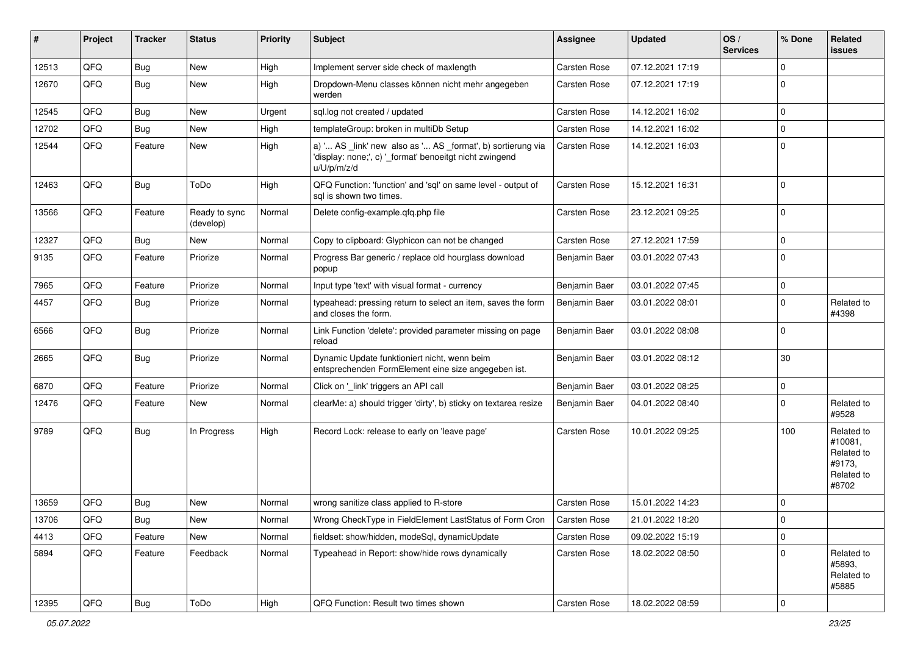| #     | Project | <b>Tracker</b> | <b>Status</b>              | <b>Priority</b> | Subject                                                                                                                               | Assignee            | <b>Updated</b>   | OS/<br><b>Services</b> | % Done      | Related<br>issues                                                    |
|-------|---------|----------------|----------------------------|-----------------|---------------------------------------------------------------------------------------------------------------------------------------|---------------------|------------------|------------------------|-------------|----------------------------------------------------------------------|
| 12513 | QFQ     | <b>Bug</b>     | <b>New</b>                 | High            | Implement server side check of maxlength                                                                                              | Carsten Rose        | 07.12.2021 17:19 |                        | 0           |                                                                      |
| 12670 | QFQ     | Bug            | <b>New</b>                 | High            | Dropdown-Menu classes können nicht mehr angegeben<br>werden                                                                           | Carsten Rose        | 07.12.2021 17:19 |                        | $\Omega$    |                                                                      |
| 12545 | QFQ     | <b>Bug</b>     | <b>New</b>                 | Urgent          | sql.log not created / updated                                                                                                         | Carsten Rose        | 14.12.2021 16:02 |                        | 0           |                                                                      |
| 12702 | QFQ     | <b>Bug</b>     | New                        | High            | templateGroup: broken in multiDb Setup                                                                                                | Carsten Rose        | 14.12.2021 16:02 |                        | $\mathbf 0$ |                                                                      |
| 12544 | QFQ     | Feature        | New                        | High            | a) ' AS _link' new also as ' AS _format', b) sortierung via<br>'display: none;', c) '_format' benoeitgt nicht zwingend<br>u/U/p/m/z/d | <b>Carsten Rose</b> | 14.12.2021 16:03 |                        | $\Omega$    |                                                                      |
| 12463 | QFQ     | <b>Bug</b>     | ToDo                       | High            | QFQ Function: 'function' and 'sql' on same level - output of<br>sal is shown two times.                                               | Carsten Rose        | 15.12.2021 16:31 |                        | $\mathbf 0$ |                                                                      |
| 13566 | QFQ     | Feature        | Ready to sync<br>(develop) | Normal          | Delete config-example.qfq.php file                                                                                                    | Carsten Rose        | 23.12.2021 09:25 |                        | $\mathbf 0$ |                                                                      |
| 12327 | QFQ     | <b>Bug</b>     | New                        | Normal          | Copy to clipboard: Glyphicon can not be changed                                                                                       | Carsten Rose        | 27.12.2021 17:59 |                        | $\mathbf 0$ |                                                                      |
| 9135  | QFQ     | Feature        | Priorize                   | Normal          | Progress Bar generic / replace old hourglass download<br>popup                                                                        | Benjamin Baer       | 03.01.2022 07:43 |                        | $\Omega$    |                                                                      |
| 7965  | QFQ     | Feature        | Priorize                   | Normal          | Input type 'text' with visual format - currency                                                                                       | Benjamin Baer       | 03.01.2022 07:45 |                        | $\mathbf 0$ |                                                                      |
| 4457  | QFQ     | <b>Bug</b>     | Priorize                   | Normal          | typeahead: pressing return to select an item, saves the form<br>and closes the form.                                                  | Benjamin Baer       | 03.01.2022 08:01 |                        | $\mathbf 0$ | Related to<br>#4398                                                  |
| 6566  | QFQ     | Bug            | Priorize                   | Normal          | Link Function 'delete': provided parameter missing on page<br>reload                                                                  | Benjamin Baer       | 03.01.2022 08:08 |                        | $\mathbf 0$ |                                                                      |
| 2665  | QFQ     | <b>Bug</b>     | Priorize                   | Normal          | Dynamic Update funktioniert nicht, wenn beim<br>entsprechenden FormElement eine size angegeben ist.                                   | Benjamin Baer       | 03.01.2022 08:12 |                        | 30          |                                                                      |
| 6870  | QFQ     | Feature        | Priorize                   | Normal          | Click on '_link' triggers an API call                                                                                                 | Benjamin Baer       | 03.01.2022 08:25 |                        | $\mathbf 0$ |                                                                      |
| 12476 | QFQ     | Feature        | New                        | Normal          | clearMe: a) should trigger 'dirty', b) sticky on textarea resize                                                                      | Benjamin Baer       | 04.01.2022 08:40 |                        | $\Omega$    | Related to<br>#9528                                                  |
| 9789  | QFQ     | Bug            | In Progress                | High            | Record Lock: release to early on 'leave page'                                                                                         | Carsten Rose        | 10.01.2022 09:25 |                        | 100         | Related to<br>#10081,<br>Related to<br>#9173,<br>Related to<br>#8702 |
| 13659 | QFQ     | <b>Bug</b>     | <b>New</b>                 | Normal          | wrong sanitize class applied to R-store                                                                                               | Carsten Rose        | 15.01.2022 14:23 |                        | $\mathbf 0$ |                                                                      |
| 13706 | QFQ     | Bug            | New                        | Normal          | Wrong CheckType in FieldElement LastStatus of Form Cron                                                                               | Carsten Rose        | 21.01.2022 18:20 |                        | O           |                                                                      |
| 4413  | QFQ     | Feature        | New                        | Normal          | fieldset: show/hidden, modeSql, dynamicUpdate                                                                                         | Carsten Rose        | 09.02.2022 15:19 |                        | $\mathbf 0$ |                                                                      |
| 5894  | QFQ     | Feature        | Feedback                   | Normal          | Typeahead in Report: show/hide rows dynamically                                                                                       | Carsten Rose        | 18.02.2022 08:50 |                        | $\mathbf 0$ | Related to<br>#5893,<br>Related to<br>#5885                          |
| 12395 | QFQ     | <b>Bug</b>     | ToDo                       | High            | QFQ Function: Result two times shown                                                                                                  | Carsten Rose        | 18.02.2022 08:59 |                        | 0           |                                                                      |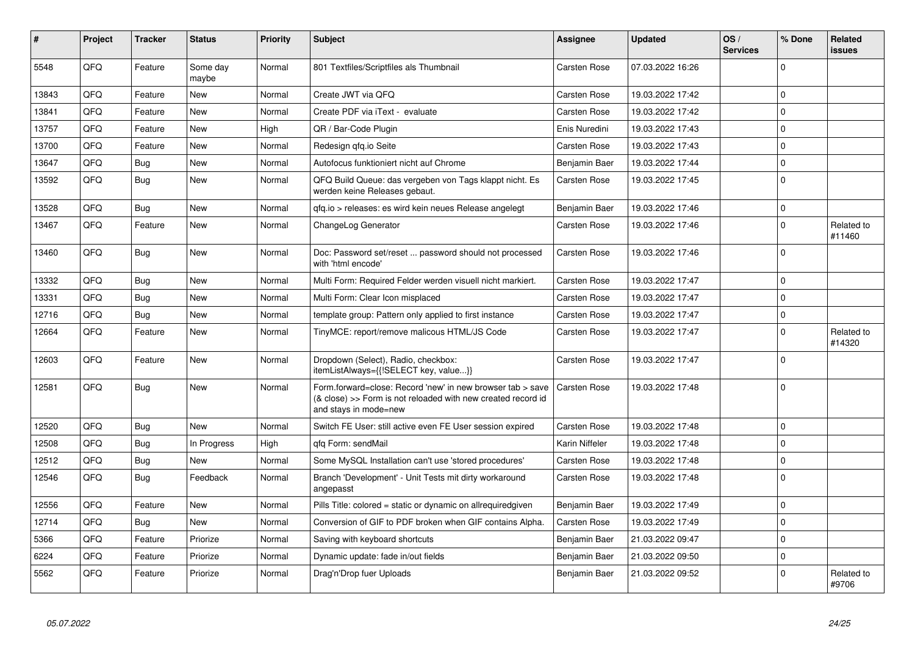| #     | Project | <b>Tracker</b> | <b>Status</b>     | Priority | <b>Subject</b>                                                                                                                                      | Assignee            | <b>Updated</b>   | OS/<br><b>Services</b> | % Done      | Related<br><b>issues</b> |
|-------|---------|----------------|-------------------|----------|-----------------------------------------------------------------------------------------------------------------------------------------------------|---------------------|------------------|------------------------|-------------|--------------------------|
| 5548  | QFQ     | Feature        | Some day<br>maybe | Normal   | 801 Textfiles/Scriptfiles als Thumbnail                                                                                                             | <b>Carsten Rose</b> | 07.03.2022 16:26 |                        | $\Omega$    |                          |
| 13843 | QFQ     | Feature        | <b>New</b>        | Normal   | Create JWT via QFQ                                                                                                                                  | <b>Carsten Rose</b> | 19.03.2022 17:42 |                        | $\mathbf 0$ |                          |
| 13841 | QFQ     | Feature        | New               | Normal   | Create PDF via iText - evaluate                                                                                                                     | <b>Carsten Rose</b> | 19.03.2022 17:42 |                        | $\mathbf 0$ |                          |
| 13757 | QFQ     | Feature        | New               | High     | QR / Bar-Code Plugin                                                                                                                                | Enis Nuredini       | 19.03.2022 17:43 |                        | $\mathbf 0$ |                          |
| 13700 | QFQ     | Feature        | New               | Normal   | Redesign qfq.io Seite                                                                                                                               | Carsten Rose        | 19.03.2022 17:43 |                        | $\mathbf 0$ |                          |
| 13647 | QFQ     | <b>Bug</b>     | <b>New</b>        | Normal   | Autofocus funktioniert nicht auf Chrome                                                                                                             | Benjamin Baer       | 19.03.2022 17:44 |                        | $\Omega$    |                          |
| 13592 | QFQ     | <b>Bug</b>     | New               | Normal   | QFQ Build Queue: das vergeben von Tags klappt nicht. Es<br>werden keine Releases gebaut.                                                            | <b>Carsten Rose</b> | 19.03.2022 17:45 |                        | $\Omega$    |                          |
| 13528 | QFQ     | <b>Bug</b>     | New               | Normal   | gfg.io > releases: es wird kein neues Release angelegt                                                                                              | Benjamin Baer       | 19.03.2022 17:46 |                        | $\mathbf 0$ |                          |
| 13467 | QFQ     | Feature        | New               | Normal   | ChangeLog Generator                                                                                                                                 | <b>Carsten Rose</b> | 19.03.2022 17:46 |                        | $\mathbf 0$ | Related to<br>#11460     |
| 13460 | QFQ     | Bug            | New               | Normal   | Doc: Password set/reset  password should not processed<br>with 'html encode'                                                                        | Carsten Rose        | 19.03.2022 17:46 |                        | $\mathbf 0$ |                          |
| 13332 | QFQ     | Bug            | <b>New</b>        | Normal   | Multi Form: Required Felder werden visuell nicht markiert.                                                                                          | Carsten Rose        | 19.03.2022 17:47 |                        | $\mathbf 0$ |                          |
| 13331 | QFQ     | <b>Bug</b>     | <b>New</b>        | Normal   | Multi Form: Clear Icon misplaced                                                                                                                    | <b>Carsten Rose</b> | 19.03.2022 17:47 |                        | $\Omega$    |                          |
| 12716 | QFQ     | Bug            | New               | Normal   | template group: Pattern only applied to first instance                                                                                              | <b>Carsten Rose</b> | 19.03.2022 17:47 |                        | $\mathbf 0$ |                          |
| 12664 | QFQ     | Feature        | New               | Normal   | TinyMCE: report/remove malicous HTML/JS Code                                                                                                        | Carsten Rose        | 19.03.2022 17:47 |                        | $\Omega$    | Related to<br>#14320     |
| 12603 | QFQ     | Feature        | New               | Normal   | Dropdown (Select), Radio, checkbox:<br>itemListAlways={{!SELECT key, value}}                                                                        | Carsten Rose        | 19.03.2022 17:47 |                        | $\Omega$    |                          |
| 12581 | QFQ     | <b>Bug</b>     | New               | Normal   | Form.forward=close: Record 'new' in new browser tab > save<br>(& close) >> Form is not reloaded with new created record id<br>and stays in mode=new | Carsten Rose        | 19.03.2022 17:48 |                        | $\mathbf 0$ |                          |
| 12520 | QFQ     | <b>Bug</b>     | <b>New</b>        | Normal   | Switch FE User: still active even FE User session expired                                                                                           | <b>Carsten Rose</b> | 19.03.2022 17:48 |                        | $\Omega$    |                          |
| 12508 | QFQ     | Bug            | In Progress       | High     | gfg Form: sendMail                                                                                                                                  | Karin Niffeler      | 19.03.2022 17:48 |                        | $\mathbf 0$ |                          |
| 12512 | QFQ     | <b>Bug</b>     | <b>New</b>        | Normal   | Some MySQL Installation can't use 'stored procedures'                                                                                               | Carsten Rose        | 19.03.2022 17:48 |                        | $\Omega$    |                          |
| 12546 | QFQ     | <b>Bug</b>     | Feedback          | Normal   | Branch 'Development' - Unit Tests mit dirty workaround<br>angepasst                                                                                 | <b>Carsten Rose</b> | 19.03.2022 17:48 |                        | $\Omega$    |                          |
| 12556 | QFQ     | Feature        | <b>New</b>        | Normal   | Pills Title: colored = static or dynamic on allrequiredgiven                                                                                        | Benjamin Baer       | 19.03.2022 17:49 |                        | $\Omega$    |                          |
| 12714 | QFQ     | <b>Bug</b>     | New               | Normal   | Conversion of GIF to PDF broken when GIF contains Alpha.                                                                                            | Carsten Rose        | 19.03.2022 17:49 |                        | $\mathbf 0$ |                          |
| 5366  | QFQ     | Feature        | Priorize          | Normal   | Saving with keyboard shortcuts                                                                                                                      | Benjamin Baer       | 21.03.2022 09:47 |                        | $\Omega$    |                          |
| 6224  | QFQ     | Feature        | Priorize          | Normal   | Dynamic update: fade in/out fields                                                                                                                  | Benjamin Baer       | 21.03.2022 09:50 |                        | $\mathbf 0$ |                          |
| 5562  | QFQ     | Feature        | Priorize          | Normal   | Drag'n'Drop fuer Uploads                                                                                                                            | Benjamin Baer       | 21.03.2022 09:52 |                        | $\Omega$    | Related to<br>#9706      |